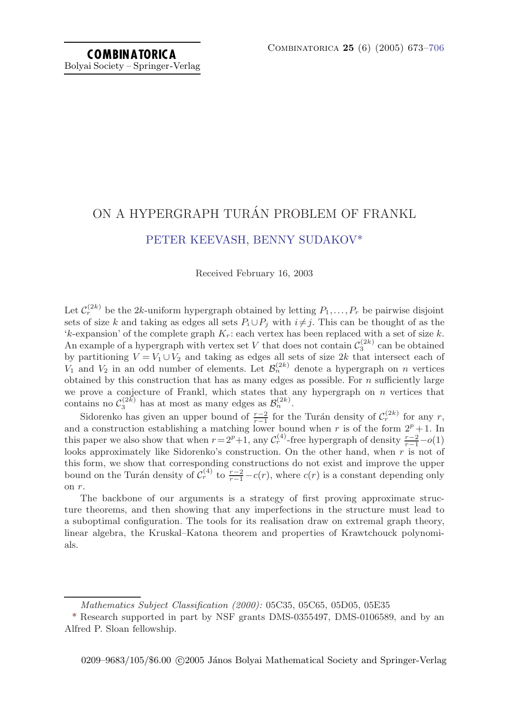## ON A HYPERGRAPH TURÁN PROBLEM OF FRANKL [PETER KEEVASH](#page-33-0), [BENNY SUDAKOV\\*](#page-33-0)

Received February 16, 2003

Let  $C_r^{(2k)}$  be the 2k-uniform hypergraph obtained by letting  $P_1,\ldots,P_r$  be pairwise disjoint sets of size k and taking as edges all sets  $P_i \cup P_j$  with  $i \neq j$ . This can be thought of as the 'k-expansion' of the complete graph  $K_r$ : each vertex has been replaced with a set of size k. An example of a hypergraph with vertex set V that does not contain  $\mathcal{C}_3^{(2k)}$  can be obtained by partitioning  $V = V_1 \cup V_2$  and taking as edges all sets of size 2k that intersect each of  $V_1$  and  $V_2$  in an odd number of elements. Let  $\mathcal{B}_n^{(2k)}$  denote a hypergraph on n vertices obtained by this construction that has as many edges as possible. For  $n$  sufficiently large we prove a conjecture of Frankl, which states that any hypergraph on  $n$  vertices that contains no  $\mathcal{C}_3^{(2k)}$  has at most as many edges as  $\mathcal{B}_n^{(2k)}$ .

Sidorenko has given an upper bound of  $\frac{r-2}{r-1}$  for the Turán density of  $C_r^{(2k)}$  for any r, and a construction establishing a matching lower bound when r is of the form  $2^p + 1$ . In this paper we also show that when  $r = 2^p + 1$ , any  $\mathcal{C}_r^{(4)}$ -free hypergraph of density  $\frac{r-2}{r-1} - o(1)$ looks approximately like Sidorenko's construction. On the other hand, when  $r$  is not of this form, we show that corresponding constructions do not exist and improve the upper bound on the Turán density of  $\mathcal{C}_r^{(4)}$  to  $\frac{r-2}{r-1} - c(r)$ , where  $c(r)$  is a constant depending only on r.

The backbone of our arguments is a strategy of first proving approximate structure theorems, and then showing that any imperfections in the structure must lead to a suboptimal configuration. The tools for its realisation draw on extremal graph theory, linear algebra, the Kruskal–Katona theorem and properties of Krawtchouck polynomials.

Mathematics Subject Classification (2000): 05C35, 05C65, 05D05, 05E35

<sup>\*</sup> Research supported in part by NSF grants DMS-0355497, DMS-0106589, and by an Alfred P. Sloan fellowship.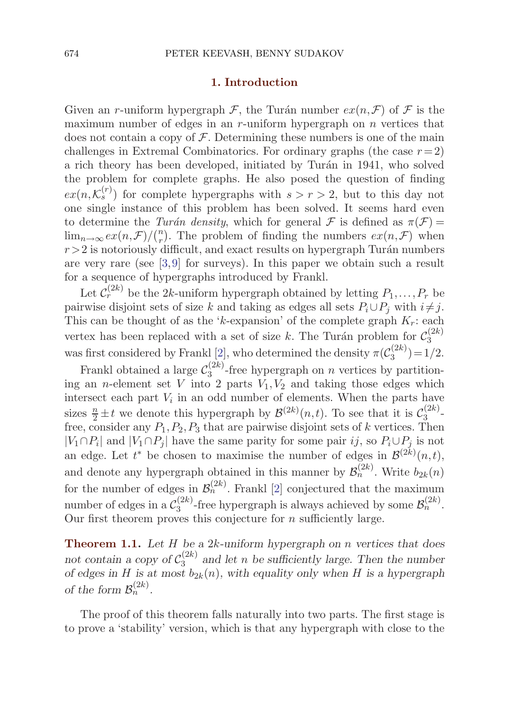#### **1. Introduction**

<span id="page-1-0"></span>Given an r-uniform hypergraph  $\mathcal F$ , the Turán number  $ex(n,\mathcal F)$  of  $\mathcal F$  is the maximum number of edges in an r-uniform hypergraph on  $n$  vertices that does not contain a copy of  $\mathcal F$ . Determining these numbers is one of the main challenges in Extremal Combinatorics. For ordinary graphs (the case  $r=2$ ) a rich theory has been developed, initiated by Turán in 1941, who solved the problem for complete graphs. He also posed the question of finding  $ex(n,\mathcal{K}_{s}^{(r)})$  for complete hypergraphs with  $s>r>2$ , but to this day not one single instance of this problem has been solved. It seems hard even to determine the Turán density, which for general F is defined as  $\pi(\mathcal{F}) =$  $\lim_{n\to\infty} \frac{ex(n,\mathcal{F})}{(n)}$ . The problem of finding the numbers  $ex(n,\mathcal{F})$  when  $r > 2$  is notoriously difficult, and exact results on hypergraph Turán numbers are very rare (see [[3](#page-33-0),[9\]](#page-33-0) for surveys). In this paper we obtain such a result for a sequence of hypergraphs introduced by Frankl.

Let  $\mathcal{C}_r^{(2k)}$  be the 2k-uniform hypergraph obtained by letting  $P_1,\ldots,P_r$  be pairwise disjoint sets of size k and taking as edges all sets  $P_i \cup P_j$  with  $i \neq j$ . This can be thought of as the 'k-expansion' of the complete graph  $K_r$ : each vertex has been replaced with a set of size k. The Turán problem for  $\mathcal{C}_3^{(2k)}$ was first considered by Frankl [\[2](#page-33-0)], who determined the density  $\pi(\mathcal{C}_3^{(2k)}) = 1/2$ .

Frankl obtained a large  $\mathcal{C}_3^{(2k)}$ -free hypergraph on n vertices by partitioning an *n*-element set V into 2 parts  $V_1, V_2$  and taking those edges which intersect each part  $V_i$  in an odd number of elements. When the parts have sizes  $\frac{n}{2} \pm t$  we denote this hypergraph by  $\mathcal{B}^{(2k)}(n,t)$ . To see that it is  $\mathcal{C}_3^{(2k)}$ . free, consider any  $P_1, P_2, P_3$  that are pairwise disjoint sets of k vertices. Then  $|V_1 \cap P_i|$  and  $|V_1 \cap P_j|$  have the same parity for some pair ij, so  $P_i \cup P_j$  is not an edge. Let  $t^*$  be chosen to maximise the number of edges in  $\mathcal{B}^{(2k)}(n,t)$ , and denote any hypergraph obtained in this manner by  $\mathcal{B}_n^{(2k)}$ . Write  $b_{2k}(n)$ for the number of edges in  $\mathcal{B}_n^{(2k)}$ . Frankl [\[2\]](#page-33-0) conjectured that the maximum number of edges in a  $\mathcal{C}_3^{(2k)}$ -free hypergraph is always achieved by some  $\mathcal{B}_n^{(2k)}$ . Our first theorem proves this conjecture for  $n$  sufficiently large.

**Theorem 1.1.** *Let* H *be a* 2k*-uniform hypergraph on* n *vertices that does* not contain a copy of  $C_3^{(2k)}$  and let n be sufficiently large. Then the number *of edges in*  $H$  *is at most*  $b_{2k}(n)$ *, with equality only when*  $H$  *is a hypergraph of the form*  $\mathcal{B}_n^{(2k)}$ .

The proof of this theorem falls naturally into two parts. The first stage is to prove a 'stability' version, which is that any hypergraph with close to the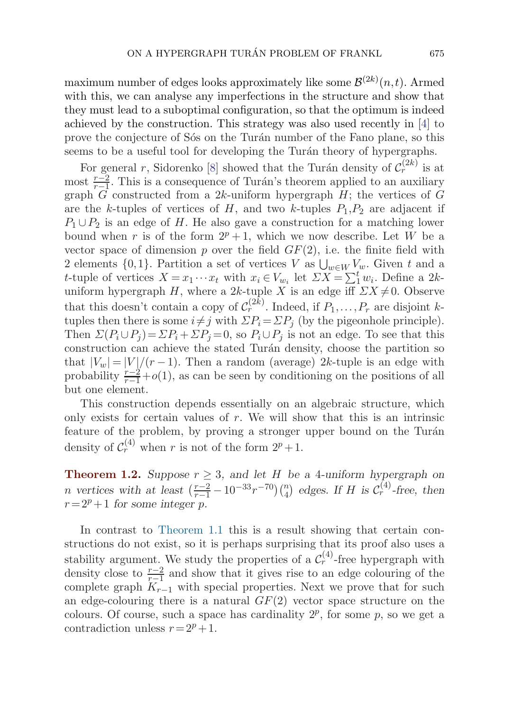<span id="page-2-0"></span>maximum number of edges looks approximately like some  $\mathcal{B}^{(2k)}(n,t)$ . Armed with this, we can analyse any imperfections in the structure and show that they must lead to a suboptimal configuration, so that the optimum is indeed achieved by the construction. This strategy was also used recently in [\[4\]](#page-33-0) to prove the conjecture of Sós on the Turán number of the Fano plane, so this seems to be a useful tool for developing the Turán theory of hypergraphs.

For general r, Sidorenko [\[8](#page-33-0)] showed that the Turán density of  $C_r^{(2k)}$  is at most  $\frac{r-2}{r-1}$ . This is a consequence of Turán's theorem applied to an auxiliary graph  $\tilde{G}$  constructed from a 2k-uniform hypergraph  $H$ ; the vertices of  $G$ are the k-tuples of vertices of  $H$ , and two k-tuples  $P_1, P_2$  are adjacent if  $P_1 \cup P_2$  is an edge of H. He also gave a construction for a matching lower bound when r is of the form  $2^p + 1$ , which we now describe. Let W be a vector space of dimension p over the field  $GF(2)$ , i.e. the finite field with 2 elements  $\{0,1\}$ . Partition a set of vertices V as  $\bigcup_{w\in W}V_w$ . Given t and a t-tuple of vertices  $X = x_1 \cdots x_t$  with  $x_i \in V_{w_i}$  let  $\sum X = \sum_1^t w_i$ . Define a 2kuniform hypergraph H, where a 2k-tuple X is an edge iff  $\sum X \neq 0$ . Observe that this doesn't contain a copy of  $C_r^{(2k)}$ . Indeed, if  $P_1,\ldots,P_r$  are disjoint ktuples then there is some  $i \neq j$  with  $\Sigma P_i = \Sigma P_j$  (by the pigeonhole principle). Then  $\Sigma(P_i \cup P_j) = \Sigma P_i + \Sigma P_j = 0$ , so  $P_i \cup P_j$  is not an edge. To see that this construction can achieve the stated Turán density, choose the partition so that  $|V_w| = |V|/(r-1)$ . Then a random (average) 2k-tuple is an edge with probability  $\frac{r-2}{r-1} + o(1)$ , as can be seen by conditioning on the positions of all but one element.

This construction depends essentially on an algebraic structure, which only exists for certain values of  $r$ . We will show that this is an intrinsic feature of the problem, by proving a stronger upper bound on the Turán density of  $\mathcal{C}_r^{(4)}$  when r is not of the form  $2^p + 1$ .

**Theorem 1.2.** *Suppose*  $r \geq 3$ *, and let* H *be a* 4*-uniform hypergraph on n* vertices with at least  $(\frac{r-2}{r-1} - 10^{-33}r^{-70})(\frac{n}{4})$  edges. If *H* is  $C_r^{(4)}$ -free, then  $r = 2^p + 1$  *for some integer* p.

In contrast to [Theorem 1.1](#page-1-0) this is a result showing that certain constructions do not exist, so it is perhaps surprising that its proof also uses a stability argument. We study the properties of a  $\mathcal{C}_r^{(4)}$ -free hypergraph with density close to  $\frac{r-2}{r-1}$  and show that it gives rise to an edge colouring of the complete graph  $K_{r-1}$  with special properties. Next we prove that for such an edge-colouring there is a natural  $GF(2)$  vector space structure on the colours. Of course, such a space has cardinality  $2^p$ , for some p, so we get a contradiction unless  $r = 2^p + 1$ .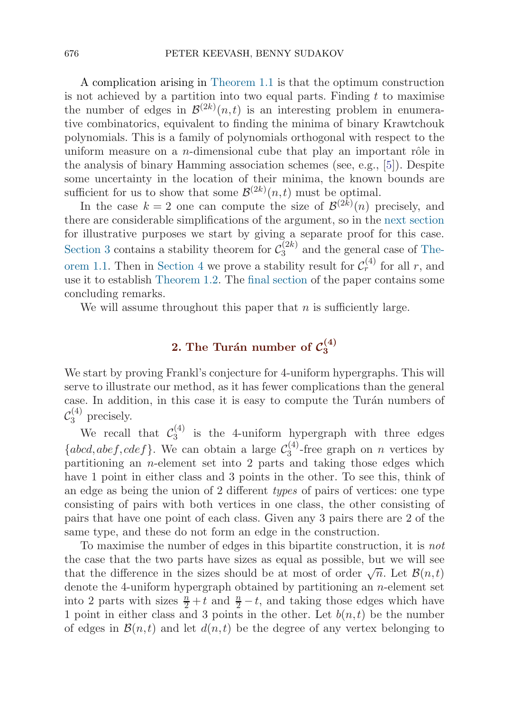<span id="page-3-0"></span>A complication arising in [Theorem 1.1](#page-1-0) is that the optimum construction is not achieved by a partition into two equal parts. Finding  $t$  to maximise the number of edges in  $\mathcal{B}^{(2k)}(n,t)$  is an interesting problem in enumerative combinatorics, equivalent to finding the minima of binary Krawtchouk polynomials. This is a family of polynomials orthogonal with respect to the uniform measure on a *n*-dimensional cube that play an important rôle in the analysis of binary Hamming association schemes (see, e.g., [\[5\]](#page-33-0)). Despite some uncertainty in the location of their minima, the known bounds are sufficient for us to show that some  $\mathcal{B}^{(2k)}(n,t)$  must be optimal.

In the case  $k=2$  one can compute the size of  $\mathcal{B}^{(2k)}(n)$  precisely, and there are considerable simplifications of the argument, so in the next section for illustrative purposes we start by giving a separate proof for this case. [Section 3](#page-11-0) contains a stability theorem for  $\mathcal{C}_3^{(2k)}$  and the general case of [The](#page-1-0)or[em 1.1.](#page-1-0) Then in [Section 4](#page-25-0) we prove a stability result for  $\mathcal{C}_r^{(4)}$  for all r, and use it to establish [Theorem 1.2.](#page-2-0) The [final section](#page-32-0) of the paper contains some concluding remarks.

We will assume throughout this paper that  $n$  is sufficiently large.

## **2.** The Turán number of  $\mathcal{C}_3^{(4)}$

We start by proving Frankl's conjecture for 4-uniform hypergraphs. This will serve to illustrate our method, as it has fewer complications than the general case. In addition, in this case it is easy to compute the Turán numbers of  $\mathcal{C}_3^{(4)}$  precisely.

We recall that  $\mathcal{C}_3^{(4)}$  is the 4-uniform hypergraph with three edges  ${abcd, abef, cdef}.$  We can obtain a large  $\mathcal{C}_3^{(4)}$ -free graph on *n* vertices by partitioning an  $n$ -element set into 2 parts and taking those edges which have 1 point in either class and 3 points in the other. To see this, think of an edge as being the union of 2 different types of pairs of vertices: one type consisting of pairs with both vertices in one class, the other consisting of pairs that have one point of each class. Given any 3 pairs there are 2 of the same type, and these do not form an edge in the construction.

To maximise the number of edges in this bipartite construction, it is not the case that the two parts have sizes as equal as possible, but we will see that the difference in the sizes should be at most of order  $\sqrt{n}$ . Let  $\mathcal{B}(n,t)$ denote the 4-uniform hypergraph obtained by partitioning an n-element set into 2 parts with sizes  $\frac{n}{2} + t$  and  $\frac{n}{2} - t$ , and taking those edges which have 1 point in either class and 3 points in the other. Let  $b(n, t)$  be the number of edges in  $\mathcal{B}(n,t)$  and let  $d(n,t)$  be the degree of any vertex belonging to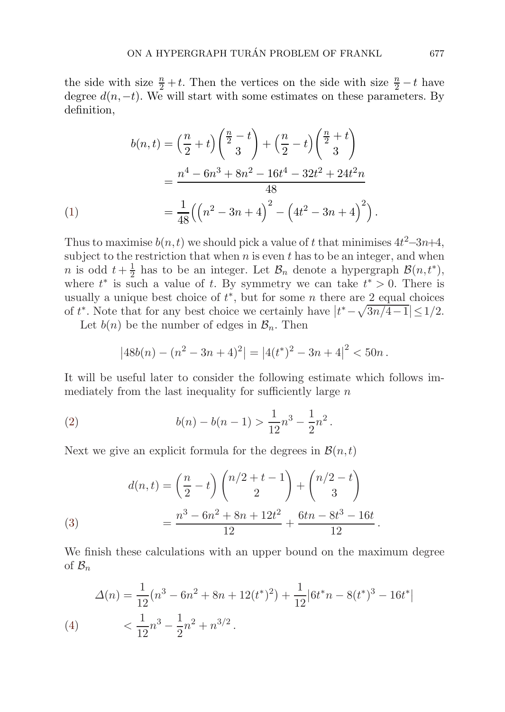<span id="page-4-0"></span>the side with size  $\frac{n}{2} + t$ . Then the vertices on the side with size  $\frac{n}{2} - t$  have degree  $d(n,-t)$ . We will start with some estimates on these parameters. By definition,

$$
b(n,t) = \left(\frac{n}{2} + t\right) \left(\frac{n}{2} - t\right) + \left(\frac{n}{2} - t\right) \left(\frac{n}{2} + t\right)
$$
  
= 
$$
\frac{n^4 - 6n^3 + 8n^2 - 16t^4 - 32t^2 + 24t^2n}{48}
$$
  
= 
$$
\frac{1}{48} \left( \left(n^2 - 3n + 4\right)^2 - \left(4t^2 - 3n + 4\right)^2 \right).
$$

Thus to maximise  $b(n,t)$  we should pick a value of t that minimises  $4t^2-3n+4$ , subject to the restriction that when  $n$  is even  $t$  has to be an integer, and when *n* is odd  $t + \frac{1}{2}$  has to be an integer. Let  $\mathcal{B}_n$  denote a hypergraph  $\mathcal{B}(n, t^*)$ , where  $t^*$  is such a value of t. By symmetry we can take  $t^* > 0$ . There is usually a unique best choice of  $t^*$ , but for some n there are 2 equal choices of  $t^*$ . Note that for any best choice we certainly have  $|t^*-\sqrt{3n/4-1}| \leq 1/2$ .

Let  $b(n)$  be the number of edges in  $\mathcal{B}_n$ . Then

$$
|48b(n) - (n^2 - 3n + 4)^2| = |4(t^*)^2 - 3n + 4|^2 < 50n.
$$

It will be useful later to consider the following estimate which follows immediately from the last inequality for sufficiently large  $n$ 

(2) 
$$
b(n) - b(n-1) > \frac{1}{12}n^3 - \frac{1}{2}n^2.
$$

Next we give an explicit formula for the degrees in  $\mathcal{B}(n,t)$ 

(3)  

$$
d(n,t) = \left(\frac{n}{2} - t\right) \binom{n/2 + t - 1}{2} + \binom{n/2 - t}{3}
$$

$$
= \frac{n^3 - 6n^2 + 8n + 12t^2}{12} + \frac{6tn - 8t^3 - 16t}{12}.
$$

We finish these calculations with an upper bound on the maximum degree of  $\mathcal{B}_n$ 

(4) 
$$
\Delta(n) = \frac{1}{12} (n^3 - 6n^2 + 8n + 12(t^*)^2) + \frac{1}{12} |6t^*n - 8(t^*)^3 - 16t^*|
$$

$$
< \frac{1}{12} n^3 - \frac{1}{2} n^2 + n^{3/2}.
$$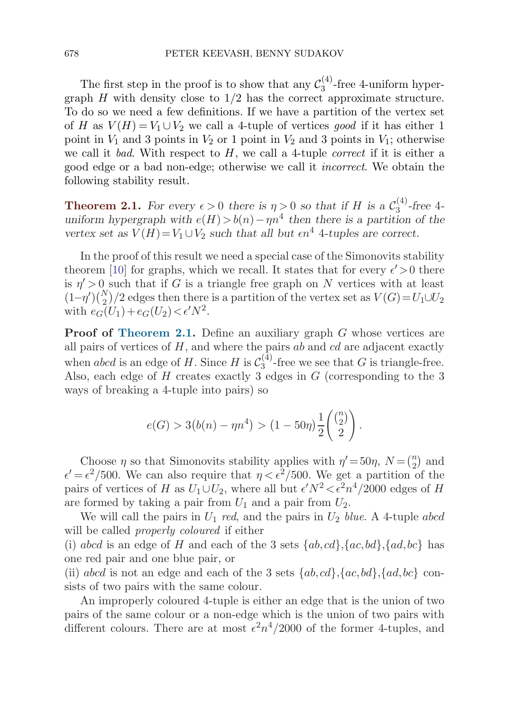<span id="page-5-0"></span>The first step in the proof is to show that any  $\mathcal{C}_3^{(4)}$ -free 4-uniform hypergraph  $H$  with density close to  $1/2$  has the correct approximate structure. To do so we need a few definitions. If we have a partition of the vertex set of H as  $V(H) = V_1 \cup V_2$  we call a 4-tuple of vertices good if it has either 1 point in  $V_1$  and 3 points in  $V_2$  or 1 point in  $V_2$  and 3 points in  $V_1$ ; otherwise we call it bad. With respect to  $H$ , we call a 4-tuple *correct* if it is either a good edge or a bad non-edge; otherwise we call it incorrect. We obtain the following stability result.

**Theorem 2.1.** For every  $\epsilon > 0$  there is  $\eta > 0$  so that if H is a  $\mathcal{C}_3^{(4)}$ -free 4*uniform hypergraph with*  $e(H) > b(n) - \eta n^4$  *then there is a partition of the vertex set as*  $V(H) = V_1 \cup V_2$  *such that all but*  $\epsilon n^4$  4*-tuples are correct.* 

In the proof of this result we need a special case of the Simonovits stability theorem [\[10\]](#page-33-0) for graphs, which we recall. It states that for every  $\epsilon' > 0$  there is  $\eta' > 0$  such that if G is a triangle free graph on N vertices with at least  $(1-\eta')\binom{N}{2}/2$  edges then there is a partition of the vertex set as  $V(G) = U_1 \cup U_2$ with  $e_G(U_1) + e_G(U_2) < \epsilon' N^2$ .

**Proof of Theorem 2.1.** Define an auxiliary graph G whose vertices are all pairs of vertices of  $H$ , and where the pairs ab and cd are adjacent exactly when abcd is an edge of H. Since H is  $\mathcal{C}_3^{(4)}$ -free we see that G is triangle-free. Also, each edge of H creates exactly 3 edges in G (corresponding to the 3 ways of breaking a 4-tuple into pairs) so

$$
e(G) > 3(b(n) - \eta n^4) > (1 - 50\eta) \frac{1}{2} \binom{\binom{n}{2}}{2}.
$$

Choose  $\eta$  so that Simonovits stability applies with  $\eta' = 50\eta$ ,  $N = \binom{n}{2}$  and  $\epsilon' = \epsilon^2/500$ . We can also require that  $\eta < \epsilon^2/500$ . We get a partition of the pairs of vertices of H as  $U_1 \cup U_2$ , where all but  $\epsilon' N^2 < \epsilon^2 n^4/2000$  edges of H are formed by taking a pair from  $U_1$  and a pair from  $U_2$ .

We will call the pairs in  $U_1$  red, and the pairs in  $U_2$  blue. A 4-tuple abcd will be called *properly coloured* if either

(i) abcd is an edge of H and each of the 3 sets  $\{ab, cd\}$ ,  $\{ac, bd\}$ ,  $\{ad, bc\}$  has one red pair and one blue pair, or

(ii) abcd is not an edge and each of the 3 sets  $\{ab, cd\}$ ,  $\{ac, bd\}$ ,  $\{ad, bc\}$  consists of two pairs with the same colour.

An improperly coloured 4-tuple is either an edge that is the union of two pairs of the same colour or a non-edge which is the union of two pairs with different colours. There are at most  $\epsilon^2 n^4/2000$  of the former 4-tuples, and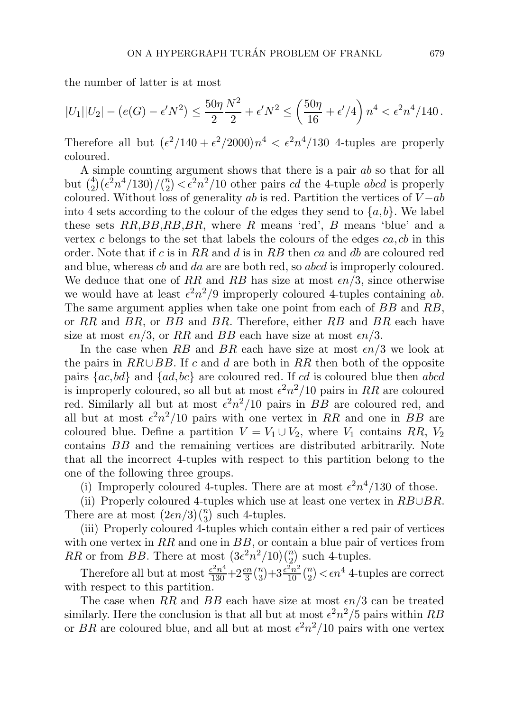the number of latter is at most

$$
|U_1||U_2| - (e(G) - \epsilon' N^2) \le \frac{50\eta N^2}{2} + \epsilon' N^2 \le \left(\frac{50\eta}{16} + \epsilon'/4\right)n^4 < \epsilon^2 n^4/140.
$$

Therefore all but  $(\epsilon^2/140 + \epsilon^2/2000)n^4 < \epsilon^2 n^4/130$  4-tuples are properly coloured.

A simple counting argument shows that there is a pair ab so that for all but  $\binom{4}{2} (\epsilon^2 n^4/130)/\binom{n}{2} < \epsilon^2 n^2/10$  other pairs cd the 4-tuple abcd is properly coloured. Without loss of generality ab is red. Partition the vertices of  $V - ab$ into 4 sets according to the colour of the edges they send to  $\{a, b\}$ . We label these sets  $RR,BB,RB,BR$ , where R means 'red', B means 'blue' and a vertex c belongs to the set that labels the colours of the edges  $ca, cb$  in this order. Note that if c is in RR and d is in RB then ca and db are coloured red and blue, whereas cb and da are are both red, so abcd is improperly coloured. We deduce that one of RR and RB has size at most  $\epsilon n/3$ , since otherwise we would have at least  $\epsilon^2 n^2/9$  improperly coloured 4-tuples containing ab. The same argument applies when take one point from each of BB and RB, or  $RR$  and  $BR$ , or  $BB$  and  $BR$ . Therefore, either  $RB$  and  $BR$  each have size at most  $\epsilon n/3$ , or RR and BB each have size at most  $\epsilon n/3$ .

In the case when RB and BR each have size at most  $\epsilon n/3$  we look at the pairs in  $RR \cup BB$ . If c and d are both in RR then both of the opposite pairs  ${ac,bd}$  and  ${ad,bc}$  are coloured red. If cd is coloured blue then abcd is improperly coloured, so all but at most  $\epsilon^2 n^2/10$  pairs in RR are coloured red. Similarly all but at most  $\epsilon^2 n^2/10$  pairs in BB are coloured red, and all but at most  $\epsilon^2 n^2/10$  pairs with one vertex in RR and one in BB are coloured blue. Define a partition  $V = V_1 \cup V_2$ , where  $V_1$  contains RR,  $V_2$ contains BB and the remaining vertices are distributed arbitrarily. Note that all the incorrect 4-tuples with respect to this partition belong to the one of the following three groups.

(i) Improperly coloured 4-tuples. There are at most  $\epsilon^2 n^4/130$  of those.

(ii) Properly coloured 4-tuples which use at least one vertex in  $RB \cup BR$ . There are at most  $(2\epsilon n/3) {n \choose 3}$  such 4-tuples.

(iii) Properly coloured 4-tuples which contain either a red pair of vertices with one vertex in  $RR$  and one in  $BB$ , or contain a blue pair of vertices from RR or from BB. There at most  $(3\epsilon^2 n^2/10)\binom{n}{2}$  such 4-tuples.

Therefore all but at most  $\frac{\epsilon^2 n^4}{130} + 2\frac{\epsilon n}{3} {n \choose 3} + 3\frac{\epsilon^2 n^2}{10} {n \choose 2} < \epsilon n^4$  4-tuples are correct with respect to this partition.

The case when RR and BB each have size at most  $\epsilon n/3$  can be treated similarly. Here the conclusion is that all but at most  $\epsilon^2 n^2/5$  pairs within RB or BR are coloured blue, and all but at most  $\epsilon^2 n^2/10$  pairs with one vertex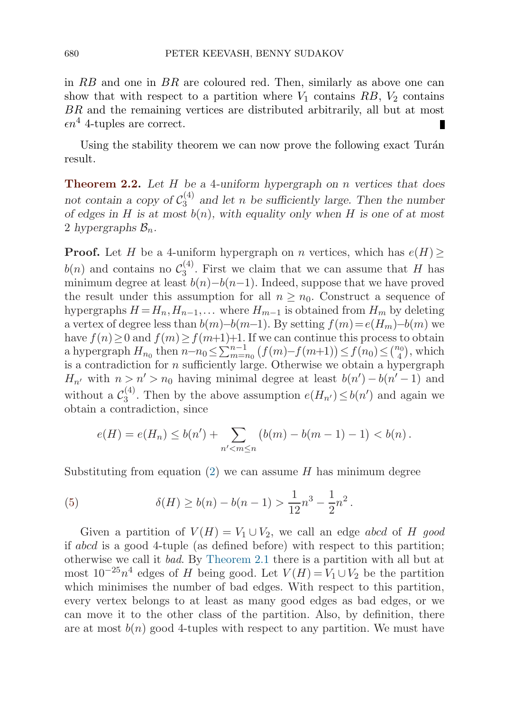<span id="page-7-0"></span>in  $RB$  and one in  $BR$  are coloured red. Then, similarly as above one can show that with respect to a partition where  $V_1$  contains  $RB$ ,  $V_2$  contains BR and the remaining vertices are distributed arbitrarily, all but at most  $\epsilon n^4$  4-tuples are correct.

Using the stability theorem we can now prove the following exact Turán result.

**Theorem 2.2.** *Let* H *be a* 4*-uniform hypergraph on* n *vertices that does* not contain a copy of  $C_3^{(4)}$  and let n be sufficiently large. Then the number *of edges in* H *is at most* b(n)*, with equality only when* H *is one of at most* 2 *hypergraphs*  $\mathcal{B}_n$ .

**Proof.** Let H be a 4-uniform hypergraph on n vertices, which has  $e(H)$  $b(n)$  and contains no  $\mathcal{C}_3^{(4)}$ . First we claim that we can assume that H has minimum degree at least  $b(n)-b(n-1)$ . Indeed, suppose that we have proved the result under this assumption for all  $n \geq n_0$ . Construct a sequence of hypergraphs  $H = H_n, H_{n-1}, \ldots$  where  $H_{m-1}$  is obtained from  $H_m$  by deleting a vertex of degree less than  $b(m)-b(m-1)$ . By setting  $f(m)=e(H_m)-b(m)$  we have  $f(n) \geq 0$  and  $f(m) \geq f(m+1)+1$ . If we can continue this process to obtain a hypergraph  $H_{n_0}$  then  $n-n_0 \le \sum_{m=n_0}^{n-1} (f(m)-f(m+1)) \le f(n_0) \le {n_0 \choose 4}$ , which is a contradiction for  $n$  sufficiently large. Otherwise we obtain a hypergraph  $H_{n'}$  with  $n > n' > n_0$  having minimal degree at least  $b(n') - b(n' - 1)$  and without a  $\mathcal{C}_3^{(4)}$ . Then by the above assumption  $e(H_{n'}) \leq b(n')$  and again we obtain a contradiction, since

$$
e(H) = e(H_n) \le b(n') + \sum_{n' < m \le n} \left( b(m) - b(m-1) - 1 \right) < b(n).
$$

Substituting from equation  $(2)$  $(2)$  $(2)$  we can assume H has minimum degree

(5) 
$$
\delta(H) \ge b(n) - b(n-1) > \frac{1}{12}n^3 - \frac{1}{2}n^2.
$$

Given a partition of  $V(H) = V_1 \cup V_2$ , we call an edge abcd of H good if abcd is a good 4-tuple (as defined before) with respect to this partition; otherwise we call it bad. By [Theorem 2.1](#page-5-0) there is a partition with all but at most  $10^{-25}n^4$  edges of H being good. Let  $V(H) = V_1 \cup V_2$  be the partition which minimises the number of bad edges. With respect to this partition, every vertex belongs to at least as many good edges as bad edges, or we can move it to the other class of the partition. Also, by definition, there are at most  $b(n)$  good 4-tuples with respect to any partition. We must have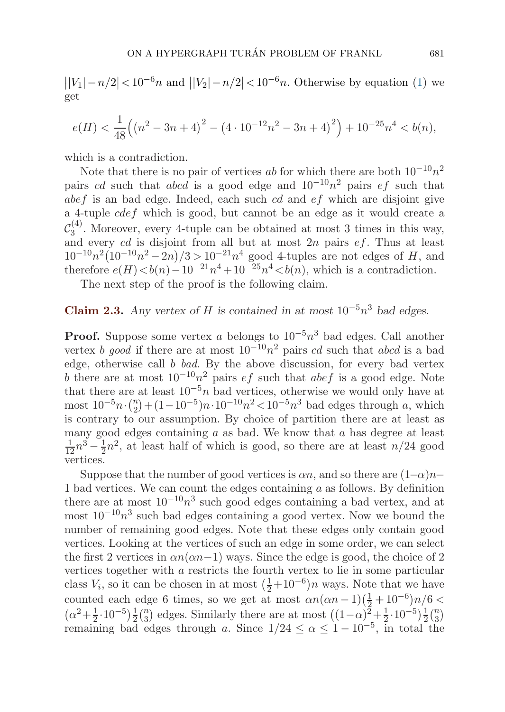<span id="page-8-0"></span> $||V_1| - n/2| < 10^{-6}n$  and  $||V_2| - n/2| < 10^{-6}n$ . Otherwise by equation [\(1\)](#page-4-0) we get

$$
e(H) < \frac{1}{48} \left( \left( n^2 - 3n + 4 \right)^2 - \left( 4 \cdot 10^{-12} n^2 - 3n + 4 \right)^2 \right) + 10^{-25} n^4 < b(n),
$$

which is a contradiction.

Note that there is no pair of vertices ab for which there are both  $10^{-10}n^2$ pairs cd such that abcd is a good edge and  $10^{-10}n^2$  pairs ef such that  $abef$  is an bad edge. Indeed, each such cd and  $ef$  which are disjoint give a 4-tuple  $cdef$  which is good, but cannot be an edge as it would create a  $\mathcal{C}_3^{(4)}$ . Moreover, every 4-tuple can be obtained at most 3 times in this way, and every  $cd$  is disjoint from all but at most  $2n$  pairs  $ef$ . Thus at least  $10^{-10}n^2(10^{-10}n^2-2n)/3>10^{-21}n^4$  good 4-tuples are not edges of H, and therefore  $e(H) < b(n) - 10^{-21}n^4 + 10^{-25}n^4 < b(n)$ , which is a contradiction.

The next step of the proof is the following claim.

### **Claim 2.3.** *Any vertex of* H *is contained in at most*  $10^{-5}n^3$  *bad edges.*

**Proof.** Suppose some vertex a belongs to  $10^{-5}n^3$  bad edges. Call another vertex b good if there are at most  $10^{-10}n^2$  pairs cd such that abcd is a bad edge, otherwise call b bad. By the above discussion, for every bad vertex b there are at most  $10^{-10}n^2$  pairs *ef* such that *abef* is a good edge. Note that there are at least  $10^{-5}n$  bad vertices, otherwise we would only have at most  $10^{-5}n \cdot \binom{n}{2} + (1-10^{-5})n \cdot 10^{-10}n^2 < 10^{-5}n^3$  bad edges through a, which is contrary to our assumption. By choice of partition there are at least as many good edges containing  $a$  as bad. We know that  $a$  has degree at least  $\frac{1}{12}n^3 - \frac{1}{2}n^2$ , at least half of which is good, so there are at least  $n/24$  good vertices.

Suppose that the number of good vertices is  $\alpha n$ , and so there are  $(1-\alpha)n-$ 1 bad vertices. We can count the edges containing  $a$  as follows. By definition there are at most  $10^{-10}n^3$  such good edges containing a bad vertex, and at most  $10^{-10}n^3$  such bad edges containing a good vertex. Now we bound the number of remaining good edges. Note that these edges only contain good vertices. Looking at the vertices of such an edge in some order, we can select the first 2 vertices in  $\alpha n(\alpha n-1)$  ways. Since the edge is good, the choice of 2 vertices together with a restricts the fourth vertex to lie in some particular class  $V_i$ , so it can be chosen in at most  $(\frac{1}{2}+10^{-6})n$  ways. Note that we have counted each edge 6 times, so we get at most  $\alpha n(\alpha n - 1)(\frac{1}{2} + 10^{-6})n/6 <$  $(\alpha^2 + \frac{1}{2} \cdot 10^{-5})\frac{1}{2}$  $\frac{1}{2}$ ( $\frac{n}{3}$ ) edges. Similarly there are at most  $((1-\alpha)^2 + \frac{1}{2} \cdot 10^{-5})\frac{1}{2}$  $rac{1}{2}$  $\binom{n}{3}$ remaining bad edges through a. Since  $1/24 \le \alpha \le 1-10^{-5}$ , in total the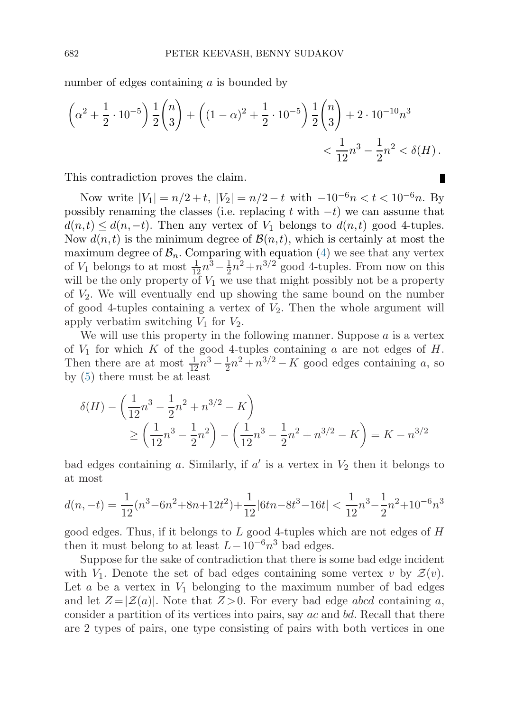number of edges containing a is bounded by

$$
\left(\alpha^2 + \frac{1}{2} \cdot 10^{-5}\right) \frac{1}{2} {n \choose 3} + \left((1 - \alpha)^2 + \frac{1}{2} \cdot 10^{-5}\right) \frac{1}{2} {n \choose 3} + 2 \cdot 10^{-10} n^3
$$
  

$$
< \frac{1}{12} n^3 - \frac{1}{2} n^2 < \delta(H).
$$

This contradiction proves the claim.

Now write  $|V_1| = n/2 + t$ ,  $|V_2| = n/2 - t$  with  $-10^{-6}n < t < 10^{-6}n$ . By possibly renaming the classes (i.e. replacing t with  $-t$ ) we can assume that  $d(n, t) \leq d(n, -t)$ . Then any vertex of  $V_1$  belongs to  $d(n, t)$  good 4-tuples. Now  $d(n, t)$  is the minimum degree of  $\mathcal{B}(n, t)$ , which is certainly at most the maximum degree of  $\mathcal{B}_n$ . Comparing with equation [\(4\)](#page-4-0) we see that any vertex of  $V_1$  belongs to at most  $\frac{1}{12}n^3 - \frac{1}{2}n^2 + n^{3/2}$  good 4-tuples. From now on this will be the only property of  $V_1$  we use that might possibly not be a property of  $V_2$ . We will eventually end up showing the same bound on the number of good 4-tuples containing a vertex of  $V_2$ . Then the whole argument will apply verbatim switching  $V_1$  for  $V_2$ .

We will use this property in the following manner. Suppose  $\alpha$  is a vertex of  $V_1$  for which K of the good 4-tuples containing a are not edges of H. Then there are at most  $\frac{1}{12}n^3 - \frac{1}{2}n^2 + n^{3/2} - K$  good edges containing a, so by [\(5](#page-7-0)) there must be at least

$$
\delta(H) - \left(\frac{1}{12}n^3 - \frac{1}{2}n^2 + n^{3/2} - K\right)
$$
  
\n
$$
\ge \left(\frac{1}{12}n^3 - \frac{1}{2}n^2\right) - \left(\frac{1}{12}n^3 - \frac{1}{2}n^2 + n^{3/2} - K\right) = K - n^{3/2}
$$

bad edges containing a. Similarly, if  $a'$  is a vertex in  $V_2$  then it belongs to at most

$$
d(n,-t) = \frac{1}{12}(n^3 - 6n^2 + 8n + 12t^2) + \frac{1}{12}|6tn - 8t^3 - 16t| < \frac{1}{12}n^3 - \frac{1}{2}n^2 + 10^{-6}n^3
$$

good edges. Thus, if it belongs to  $L$  good 4-tuples which are not edges of  $H$ then it must belong to at least  $L-10^{-6}n^3$  bad edges.

Suppose for the sake of contradiction that there is some bad edge incident with  $V_1$ . Denote the set of bad edges containing some vertex v by  $\mathcal{Z}(v)$ . Let  $a$  be a vertex in  $V_1$  belonging to the maximum number of bad edges and let  $Z = |Z(a)|$ . Note that  $Z > 0$ . For every bad edge abcd containing a, consider a partition of its vertices into pairs, say  $ac$  and  $bd$ . Recall that there are 2 types of pairs, one type consisting of pairs with both vertices in one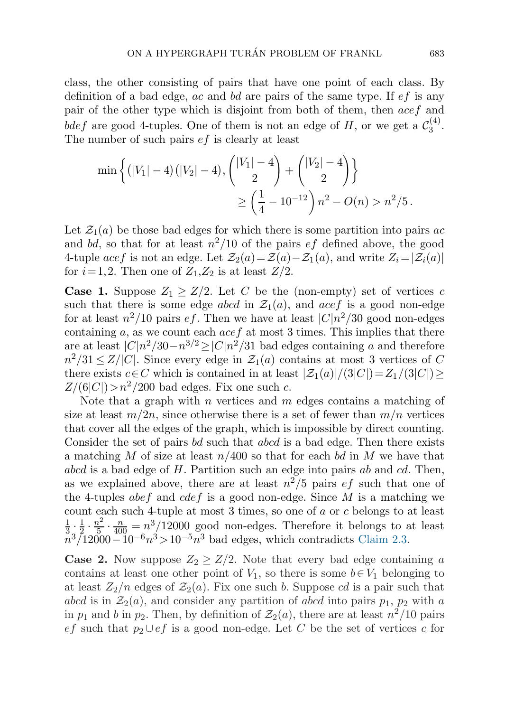class, the other consisting of pairs that have one point of each class. By definition of a bad edge, ac and bd are pairs of the same type. If  $ef$  is any pair of the other type which is disjoint from both of them, then acef and bdef are good 4-tuples. One of them is not an edge of H, or we get a  $\mathcal{C}_3^{(4)}$ . The number of such pairs *ef* is clearly at least

$$
\min\left\{ (|V_1| - 4)(|V_2| - 4), \binom{|V_1| - 4}{2} + \binom{|V_2| - 4}{2} \right\}
$$
  
 
$$
\geq \left( \frac{1}{4} - 10^{-12} \right) n^2 - O(n) > n^2/5.
$$

Let  $\mathcal{Z}_1(a)$  be those bad edges for which there is some partition into pairs ac and bd, so that for at least  $n^2/10$  of the pairs *ef* defined above, the good 4-tuple acef is not an edge. Let  $\mathcal{Z}_2(a) = \mathcal{Z}(a) - \mathcal{Z}_1(a)$ , and write  $Z_i = |\mathcal{Z}_i(a)|$ for  $i=1,2$ . Then one of  $Z_1,Z_2$  is at least  $Z/2$ .

**Case 1.** Suppose  $Z_1 \geq Z/2$ . Let C be the (non-empty) set of vertices c such that there is some edge abcd in  $\mathcal{Z}_1(a)$ , and acef is a good non-edge for at least  $n^2/10$  pairs ef. Then we have at least  $|C|n^2/30$  good non-edges containing  $a$ , as we count each  $acef$  at most 3 times. This implies that there are at least  $|C|n^2/30-n^{3/2} \ge |C|n^2/31$  bad edges containing a and therefore  $n^2/31 \leq Z/|C|$ . Since every edge in  $\mathcal{Z}_1(a)$  contains at most 3 vertices of C there exists  $c \in C$  which is contained in at least  $|\mathcal{Z}_1(a)|/(3|C|)=Z_1/(3|C|) \geq$  $Z/(6|C|) > n^2/200$  bad edges. Fix one such c.

Note that a graph with  $n$  vertices and  $m$  edges contains a matching of size at least  $m/2n$ , since otherwise there is a set of fewer than  $m/n$  vertices that cover all the edges of the graph, which is impossible by direct counting. Consider the set of pairs bd such that abcd is a bad edge. Then there exists a matching M of size at least  $n/400$  so that for each bd in M we have that  $abcd$  is a bad edge of  $H$ . Partition such an edge into pairs  $ab$  and  $cd$ . Then, as we explained above, there are at least  $n^2/5$  pairs  $ef$  such that one of the 4-tuples abef and cdef is a good non-edge. Since  $M$  is a matching we count each such 4-tuple at most 3 times, so one of a or c belongs to at least  $\frac{1}{3} \cdot \frac{1}{2} \cdot \frac{n^2}{5} \cdot \frac{n}{400} = n^3/12000$  good non-edges. Therefore it belongs to at least  $n^3/12000-10^{-6}n^3>10^{-5}n^3$  bad edges, which contradicts [Claim 2.3.](#page-8-0)

**Case 2.** Now suppose  $Z_2 \geq Z/2$ . Note that every bad edge containing a contains at least one other point of  $V_1$ , so there is some  $b \in V_1$  belonging to at least  $Z_2/n$  edges of  $\mathcal{Z}_2(a)$ . Fix one such b. Suppose cd is a pair such that abcd is in  $\mathcal{Z}_2(a)$ , and consider any partition of abcd into pairs  $p_1$ ,  $p_2$  with a in  $p_1$  and b in  $p_2$ . Then, by definition of  $\mathcal{Z}_2(a)$ , there are at least  $n^2/10$  pairs ef such that  $p_2 \cup e f$  is a good non-edge. Let C be the set of vertices c for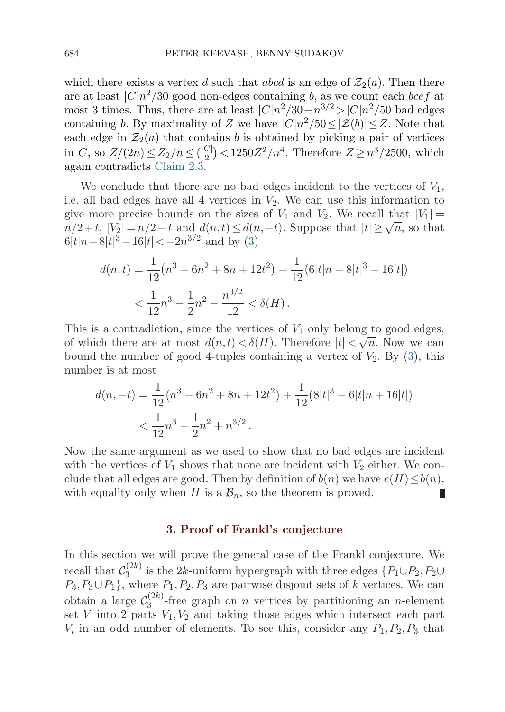<span id="page-11-0"></span>which there exists a vertex d such that abcd is an edge of  $\mathcal{Z}_2(a)$ . Then there are at least  $|C|n^2/30$  good non-edges containing b, as we count each bcef at most 3 times. Thus, there are at least  $|C|n^2/30-n^{3/2} > |C|n^2/50$  bad edges containing b. By maximality of Z we have  $|C|n^2/50 \leq |\mathcal{Z}(b)| \leq Z$ . Note that each edge in  $\mathcal{Z}_2(a)$  that contains b is obtained by picking a pair of vertices in C, so  $Z/(2n) \leq Z_2/n \leq {\binom{|C|}{2}} < 1250Z^2/n^4$ . Therefore  $Z \geq n^3/2500$ , which again contradicts [Claim 2.3.](#page-8-0)

We conclude that there are no bad edges incident to the vertices of  $V_1$ , i.e. all bad edges have all 4 vertices in  $V_2$ . We can use this information to give more precise bounds on the sizes of  $V_1$  and  $V_2$ . We recall that  $|V_1|$  =  $n/2+t$ ,  $|V_2|=n/2-t$  and  $d(n,t)\leq d(n,-t)$ . Suppose that  $|t|\geq \sqrt{n}$ , so that  $6|t|n-8|t|<sup>3</sup>-16|t|<sup>3</sup>-2n<sup>3/2</sup>$  and by [\(3\)](#page-4-0)

$$
d(n,t) = \frac{1}{12}(n^3 - 6n^2 + 8n + 12t^2) + \frac{1}{12}(6|t|n - 8|t|^3 - 16|t|)
$$
  

$$
< \frac{1}{12}n^3 - \frac{1}{2}n^2 - \frac{n^{3/2}}{12} < \delta(H).
$$

This is a contradiction, since the vertices of  $V_1$  only belong to good edges, of which there are at most  $d(n,t) < \delta(H)$ . Therefore  $|t| < \sqrt{n}$ . Now we can bound the number of good 4-tuples containing a vertex of  $V_2$ . By  $(3)$  $(3)$  $(3)$ , this number is at most

$$
d(n, -t) = \frac{1}{12}(n^3 - 6n^2 + 8n + 12t^2) + \frac{1}{12}(8|t|^3 - 6|t|n + 16|t|)
$$
  
< 
$$
< \frac{1}{12}n^3 - \frac{1}{2}n^2 + n^{3/2}.
$$

Now the same argument as we used to show that no bad edges are incident with the vertices of  $V_1$  shows that none are incident with  $V_2$  either. We conclude that all edges are good. Then by definition of  $b(n)$  we have  $e(H) \leq b(n)$ , with equality only when H is a  $\mathcal{B}_n$ , so the theorem is proved.

### **3. Proof of Frankl's conjecture**

In this section we will prove the general case of the Frankl conjecture. We recall that  $\mathcal{C}_3^{(2k)}$  is the 2k-uniform hypergraph with three edges  $\{P_1 \cup P_2, P_2 \cup$  $P_3, P_3 \cup P_1$ , where  $P_1, P_2, P_3$  are pairwise disjoint sets of k vertices. We can obtain a large  $\mathcal{C}_3^{(2k)}$ -free graph on n vertices by partitioning an n-element set V into 2 parts  $V_1, V_2$  and taking those edges which intersect each part  $V_i$  in an odd number of elements. To see this, consider any  $P_1, P_2, P_3$  that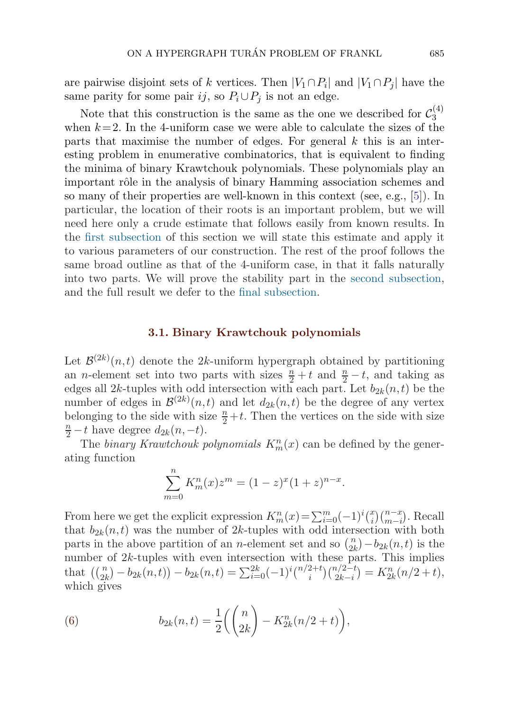<span id="page-12-0"></span>are pairwise disjoint sets of k vertices. Then  $|V_1 \cap P_i|$  and  $|V_1 \cap P_i|$  have the same parity for some pair ij, so  $P_i \cup P_j$  is not an edge.

Note that this construction is the same as the one we described for  $\mathcal{C}_3^{(4)}$ when  $k = 2$ . In the 4-uniform case we were able to calculate the sizes of the parts that maximise the number of edges. For general  $k$  this is an interesting problem in enumerative combinatorics, that is equivalent to finding the minima of binary Krawtchouk polynomials. These polynomials play an important rôle in the analysis of binary Hamming association schemes and so many of their properties are well-known in this context (see, e.g., [\[5\]](#page-33-0)). In particular, the location of their roots is an important problem, but we will need here only a crude estimate that follows easily from known results. In the first subsection of this section we will state this estimate and apply it to various parameters of our construction. The rest of the proof follows the same broad outline as that of the 4-uniform case, in that it falls naturally into two parts. We will prove the stability part in the [second subsection](#page-15-0), and the full result we defer to the [final subsection.](#page-19-0)

### **3.1. Binary Krawtchouk polynomials**

Let  $\mathcal{B}^{(2k)}(n,t)$  denote the 2k-uniform hypergraph obtained by partitioning an *n*-element set into two parts with sizes  $\frac{n}{2} + t$  and  $\frac{n}{2} - t$ , and taking as edges all 2k-tuples with odd intersection with each part. Let  $b_{2k}(n,t)$  be the number of edges in  $\mathcal{B}^{(2k)}(n,t)$  and let  $d_{2k}(n,t)$  be the degree of any vertex belonging to the side with size  $\frac{n}{2}+t$ . Then the vertices on the side with size  $\frac{n}{2}+t$  have degree  $d_{\Omega}(n-t)$  $\frac{n}{2} - t$  have degree  $d_{2k}(n, -t)$ .

The binary Krawtchouk polynomials  $K_m^n(x)$  can be defined by the generating function

$$
\sum_{m=0}^{n} K_m^n(x) z^m = (1-z)^x (1+z)^{n-x}.
$$

From here we get the explicit expression  $K_m^n(x) = \sum_{i=0}^m (-1)^i {x \choose i} {n-x \choose m-i}$ . Recall that  $b_{2k}(n,t)$  was the number of 2k-tuples with odd intersection with both parts in the above partition of an *n*-element set and so  $\binom{n}{2k} - b_{2k}(n,t)$  is the number of  $2k$ -tuples with even intersection with these parts. This implies that  $\binom{n}{2k} - b_{2k}(n,t) - b_{2k}(n,t) = \sum_{i=0}^{2k} (-1)^i \binom{n/2+t}{i} \binom{n/2-t}{2k-i} = K_{2k}^n(n/2+t),$ which gives

(6) 
$$
b_{2k}(n,t) = \frac{1}{2} \left( \binom{n}{2k} - K_{2k}^n (n/2 + t) \right),
$$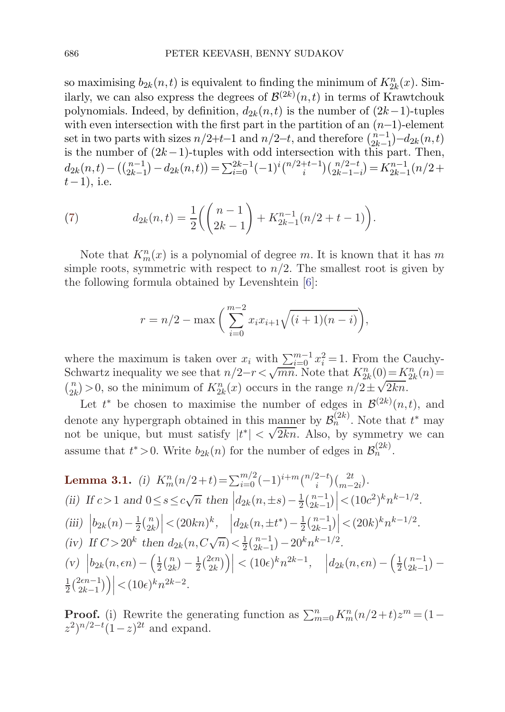<span id="page-13-0"></span>so maximising  $b_{2k}(n,t)$  is equivalent to finding the minimum of  $K_{2k}^n(x)$ . Similarly, we can also express the degrees of  $\mathcal{B}^{(2k)}(n,t)$  in terms of Krawtchouk polynomials. Indeed, by definition,  $d_{2k}(n,t)$  is the number of  $(2k-1)$ -tuples with even intersection with the first part in the partition of an  $(n-1)$ -element set in two parts with sizes  $n/2+t-1$  and  $n/2-t$ , and therefore  $\binom{n-1}{2k-1}-d_{2k}(n,t)$ is the number of  $(2k-1)$ -tuples with odd intersection with this part. Then,  $d_{2k}(n,t) - \left(\binom{n-1}{2k-1} - d_{2k}(n,t)\right) = \sum_{i=0}^{2k-1} (-1)^i \binom{n/2+t-1}{i} \binom{n/2-t}{2k-1-i} = K_{2k-1}^{n-1}(n/2+t)$  $t-1$ ), i.e.

(7) 
$$
d_{2k}(n,t) = \frac{1}{2} \left( \binom{n-1}{2k-1} + K_{2k-1}^{n-1}(n/2+t-1) \right).
$$

Note that  $K_m^n(x)$  is a polynomial of degree m. It is known that it has m simple roots, symmetric with respect to  $n/2$ . The smallest root is given by the following formula obtained by Levenshtein [\[6\]](#page-33-0):

$$
r = n/2 - \max\left(\sum_{i=0}^{m-2} x_i x_{i+1} \sqrt{(i+1)(n-i)}\right),
$$

where the maximum is taken over  $x_i$  with  $\sum_{i=0}^{m-1} x_i^2 = 1$ . From the Cauchy-Schwartz inequality we see that  $n/2-r < \sqrt{mn}$ . Note that  $K_{2k}^{n}(0) = K_{2k}^{n}(n) =$ Schwartz inequality we see that  $n/2-r < \sqrt{n}n$ . Note that  $K_{2k}(0) = K_{2k}$ <br>  $\binom{n}{2k} > 0$ , so the minimum of  $K_{2k}^n(x)$  occurs in the range  $n/2 \pm \sqrt{2kn}$ .

Let  $t^*$  be chosen to maximise the number of edges in  $\mathcal{B}^{(2k)}(n,t)$ , and denote any hypergraph obtained in this manner by  $\mathcal{B}_n^{(2k)}$ . Note that  $t^*$  may denote any nypergraph obtained in this manner by  $\mathcal{D}_n$ . Note that the unique, but must satisfy  $|t^*| < \sqrt{2kn}$ . Also, by symmetry we can assume that  $t^* > 0$ . Write  $b_{2k}(n)$  for the number of edges in  $\mathcal{B}_n^{(2k)}$ .

**Lemma 3.1.** (i) 
$$
K_m^n(n/2+t) = \sum_{i=0}^{m/2} (-1)^{i+m} \binom{n/2-t}{i} \binom{2t}{m-2i}
$$
.  
\n(ii) If  $c > 1$  and  $0 \le s \le c\sqrt{n}$  then  $\left| d_{2k}(n, \pm s) - \frac{1}{2} \binom{n-1}{2k-1} \right| < (10c^2)^k n^{k-1/2}$ .  
\n(iii)  $\left| b_{2k}(n) - \frac{1}{2} \binom{n}{2k} \right| < (20kn)^k$ ,  $\left| d_{2k}(n, \pm t^*) - \frac{1}{2} \binom{n-1}{2k-1} \right| < (20k)^k n^{k-1/2}$ .  
\n(iv) If  $C > 20^k$  then  $d_{2k}(n, C\sqrt{n}) < \frac{1}{2} \binom{n-1}{2k-1} - 20^k n^{k-1/2}$ .  
\n(v)  $\left| b_{2k}(n, \epsilon n) - \left( \frac{1}{2} \binom{n}{2k} - \frac{1}{2} \binom{2\epsilon n}{2k} \right) \right| < (10\epsilon)^k n^{2k-1}$ ,  $\left| d_{2k}(n, \epsilon n) - \left( \frac{1}{2} \binom{n-1}{2k-1} - \frac{1}{2} \binom{2\epsilon n-1}{2k-1} \right) \right| < (10\epsilon)^k n^{2k-2}$ .

**Proof.** (i) Rewrite the generating function as  $\sum_{m=0}^{n} K_m^n(n/2+t)z^m = (1-t)^n$  $(z^2)^{n/2-t}(1-z)^{2t}$  and expand.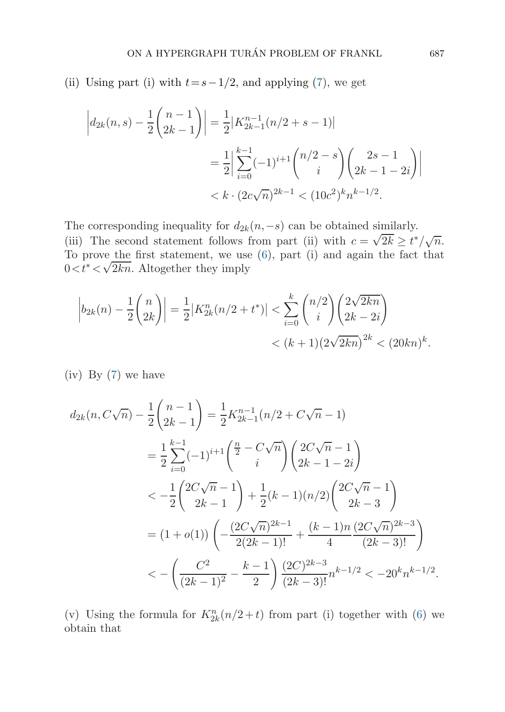(ii) Using part (i) with  $t=s-1/2$ , and applying ([7](#page-13-0)), we get

$$
\left| d_{2k}(n,s) - \frac{1}{2} {n-1 \choose 2k-1} \right| = \frac{1}{2} |K_{2k-1}^{n-1}(n/2+s-1)|
$$
  

$$
= \frac{1}{2} \Big| \sum_{i=0}^{k-1} (-1)^{i+1} {n/2-s \choose i} {2s-1 \choose 2k-1-2i} \Big|
$$
  

$$
< k \cdot (2c\sqrt{n})^{2k-1} < (10c^2)^k n^{k-1/2}.
$$

The corresponding inequality for  $d_{2k}(n,-s)$  can be obtained similarly. The corresponding mequantly for  $u_{2k}(n, -s)$  can be obtained similarly.<br>(iii) The second statement follows from part (ii) with  $c = \sqrt{2k} \ge t^*/\sqrt{n}$ . To prove the first statement, we use  $(6)$  $(6)$  $(6)$ , part  $(i)$  and again the fact that 10 prove the first statement, we use<br>0 $\lt t^* \lt \sqrt{2kn}$ . Altogether they imply

$$
\left| b_{2k}(n) - \frac{1}{2} {n \choose 2k} \right| = \frac{1}{2} |K_{2k}^n(n/2 + t^*)| < \sum_{i=0}^k {n/2 \choose i} \left( \frac{2\sqrt{2kn}}{2k - 2i} \right) \\ < (k+1) \left( 2\sqrt{2kn} \right)^{2k} < (20kn)^k.
$$

(iv) By ([7](#page-13-0)) we have

$$
d_{2k}(n, C\sqrt{n}) - \frac{1}{2} {n-1 \choose 2k-1} = \frac{1}{2} K_{2k-1}^{n-1} (n/2 + C\sqrt{n} - 1)
$$
  
\n
$$
= \frac{1}{2} \sum_{i=0}^{k-1} (-1)^{i+1} {\frac{n}{2} - C\sqrt{n} \choose i} \left( \frac{2C\sqrt{n} - 1}{2k - 1 - 2i} \right)
$$
  
\n
$$
< -\frac{1}{2} {2C\sqrt{n} - 1 \choose 2k - 1} + \frac{1}{2}(k - 1)(n/2) {2C\sqrt{n} - 1 \choose 2k - 3}
$$
  
\n
$$
= (1 + o(1)) \left( -\frac{(2C\sqrt{n})^{2k-1}}{2(2k-1)!} + \frac{(k-1)n}{4} \frac{(2C\sqrt{n})^{2k-3}}{(2k-3)!} \right)
$$
  
\n
$$
< -\left( \frac{C^2}{(2k-1)^2} - \frac{k-1}{2} \right) \frac{(2C)^{2k-3}}{(2k-3)!} n^{k-1/2} < -20^k n^{k-1/2}.
$$

(v) Using the formula for  $K_{2k}^n(n/2+t)$  from part (i) together with [\(6](#page-12-0)) we obtain that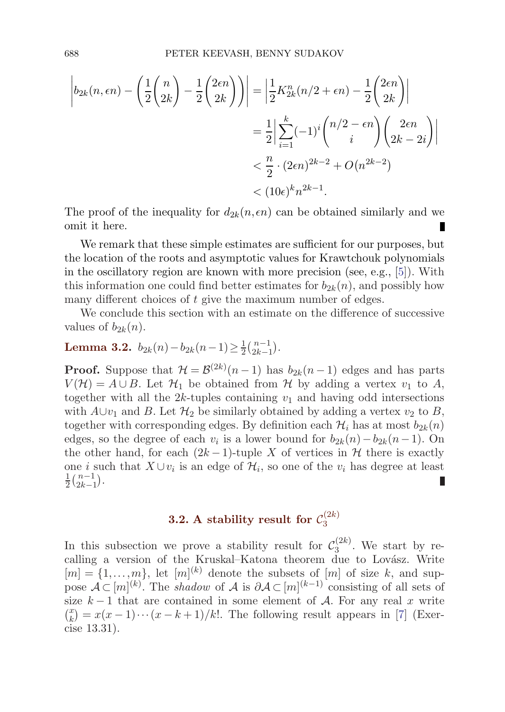<span id="page-15-0"></span>
$$
\left| b_{2k}(n, \epsilon n) - \left( \frac{1}{2} {n \choose 2k} - \frac{1}{2} {2\epsilon n \choose 2k} \right) \right| = \left| \frac{1}{2} K_{2k}^n (n/2 + \epsilon n) - \frac{1}{2} {2\epsilon n \choose 2k} \right|
$$
  

$$
= \frac{1}{2} \left| \sum_{i=1}^k (-1)^i {n/2 - \epsilon n \choose i} {2\epsilon n \choose 2k - 2i} \right|
$$
  

$$
< \frac{n}{2} \cdot (2\epsilon n)^{2k - 2} + O(n^{2k - 2})
$$
  

$$
< (10\epsilon)^k n^{2k - 1}.
$$

The proof of the inequality for  $d_{2k}(n, \epsilon n)$  can be obtained similarly and we omit it here.

We remark that these simple estimates are sufficient for our purposes, but the location of the roots and asymptotic values for Krawtchouk polynomials in the oscillatory region are known with more precision (see, e.g., [[5](#page-33-0)]). With this information one could find better estimates for  $b_{2k}(n)$ , and possibly how many different choices of t give the maximum number of edges.

We conclude this section with an estimate on the difference of successive values of  $b_{2k}(n)$ .

# **Lemma 3.2.**  $b_{2k}(n) - b_{2k}(n-1) \geq \frac{1}{2} {n-1 \choose 2k-1}.$

**Proof.** Suppose that  $\mathcal{H} = \mathcal{B}^{(2k)}(n-1)$  has  $b_{2k}(n-1)$  edges and has parts  $V(\mathcal{H}) = A \cup B$ . Let  $\mathcal{H}_1$  be obtained from  $\mathcal{H}$  by adding a vertex  $v_1$  to A, together with all the  $2k$ -tuples containing  $v_1$  and having odd intersections with  $A\cup v_1$  and B. Let  $\mathcal{H}_2$  be similarly obtained by adding a vertex  $v_2$  to B, together with corresponding edges. By definition each  $\mathcal{H}_i$  has at most  $b_{2k}(n)$ edges, so the degree of each  $v_i$  is a lower bound for  $b_{2k}(n)-b_{2k}(n-1)$ . On the other hand, for each  $(2k-1)$ -tuple X of vertices in H there is exactly one *i* such that  $X \cup v_i$  is an edge of  $\mathcal{H}_i$ , so one of the  $v_i$  has degree at least 1  $\frac{1}{2} \binom{n-1}{2k-1}.$ П

## **3.2.** A stability result for  $\mathcal{C}_3^{(2k)}$

In this subsection we prove a stability result for  $\mathcal{C}_3^{(2k)}$ . We start by recalling a version of the Kruskal–Katona theorem due to Lovász. Write  $[m] = \{1, \ldots, m\}$ , let  $[m]^{(k)}$  denote the subsets of  $[m]$  of size k, and suppose  $\mathcal{A} \subset [m]^{(k)}$ . The shadow of  $\mathcal{A}$  is  $\partial \mathcal{A} \subset [m]^{(k-1)}$  consisting of all sets of size  $k-1$  that are contained in some element of A. For any real x write  $\binom{x}{k} = x(x-1)\cdots(x-k+1)/k!$ . The following result appears in [[7](#page-33-0)] (Exercise 13.31).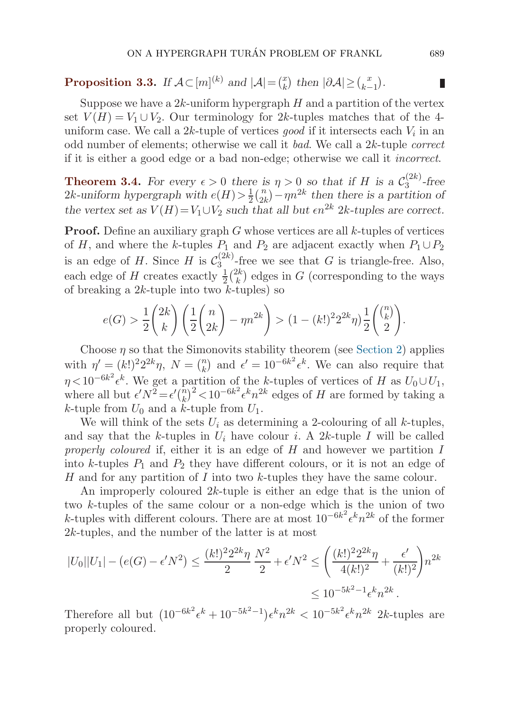# <span id="page-16-0"></span>**Proposition 3.3.** *If*  $\mathcal{A} \subset [m]^{(k)}$  *and*  $|\mathcal{A}| = \binom{x}{k}$  *then*  $|\partial \mathcal{A}| \geq \binom{x}{k-1}$ *.*

Suppose we have a  $2k$ -uniform hypergraph H and a partition of the vertex set  $V(H) = V_1 \cup V_2$ . Our terminology for 2k-tuples matches that of the 4uniform case. We call a 2k-tuple of vertices good if it intersects each  $V_i$  in an odd number of elements; otherwise we call it bad. We call a 2k-tuple correct if it is either a good edge or a bad non-edge; otherwise we call it incorrect.

**Theorem 3.4.** For every  $\epsilon > 0$  there is  $\eta > 0$  so that if H is a  $\mathcal{C}_3^{(2k)}$ -free 2k-uniform hypergraph with  $e(H) > \frac{1}{2} {n \choose 2k} - \eta n^{2k}$  then there is a partition of *the vertex set as*  $V(H) = V_1 \cup V_2$  *such that all but*  $\epsilon n^{2k}$  2k-tuples are correct.

**Proof.** Define an auxiliary graph  $G$  whose vertices are all  $k$ -tuples of vertices of H, and where the k-tuples  $P_1$  and  $P_2$  are adjacent exactly when  $P_1 \cup P_2$ is an edge of H. Since H is  $\mathcal{C}_3^{(2k)}$ -free we see that G is triangle-free. Also, each edge of H creates exactly  $\frac{1}{2} {2k \choose k}$  edges in G (corresponding to the ways of breaking a  $2k$ -tuple into two  $k$ -tuples) so

$$
e(G) > \frac{1}{2} {2k \choose k} \left( \frac{1}{2} {n \choose 2k} - \eta n^{2k} \right) > (1 - (k!)^2 2^{2k} \eta) \frac{1}{2} {n \choose 2}.
$$

Choose  $\eta$  so that the Simonovits stability theorem (see [Section 2](#page-3-0)) applies with  $\eta' = (k!)^2 2^{2k} \eta$ ,  $N = {n \choose k}$  and  $\epsilon' = 10^{-6k^2} \epsilon^k$ . We can also require that  $\eta < 10^{-6k^2} \epsilon^k$ . We get a partition of the k-tuples of vertices of H as  $U_0 \cup U_1$ , where all but  $\epsilon' N^2 = \epsilon' \binom{n}{k}^2 < 10^{-6k^2} \epsilon^k n^{2k}$  edges of H are formed by taking a k-tuple from  $U_0$  and a k-tuple from  $U_1$ .

We will think of the sets  $U_i$  as determining a 2-colouring of all k-tuples, and say that the k-tuples in  $U_i$  have colour i. A 2k-tuple I will be called properly coloured if, either it is an edge of  $H$  and however we partition  $I$ into k-tuples  $P_1$  and  $P_2$  they have different colours, or it is not an edge of H and for any partition of I into two k-tuples they have the same colour.

An improperly coloured 2k-tuple is either an edge that is the union of two k-tuples of the same colour or a non-edge which is the union of two k-tuples with different colours. There are at most  $10^{-6k^2} \epsilon^k n^{2k}$  of the former  $2k$ -tuples, and the number of the latter is at most

$$
|U_0||U_1| - (e(G) - \epsilon' N^2) \le \frac{(k!)^2 2^{2k} \eta}{2} \frac{N^2}{2} + \epsilon' N^2 \le \left(\frac{(k!)^2 2^{2k} \eta}{4(k!)^2} + \frac{\epsilon'}{(k!)^2}\right) n^{2k}
$$
  

$$
\le 10^{-5k^2 - 1} \epsilon^k n^{2k}.
$$

Therefore all but  $(10^{-6k^2} \epsilon^k + 10^{-5k^2-1}) \epsilon^k n^{2k} < 10^{-5k^2} \epsilon^k n^{2k}$  2k-tuples are properly coloured.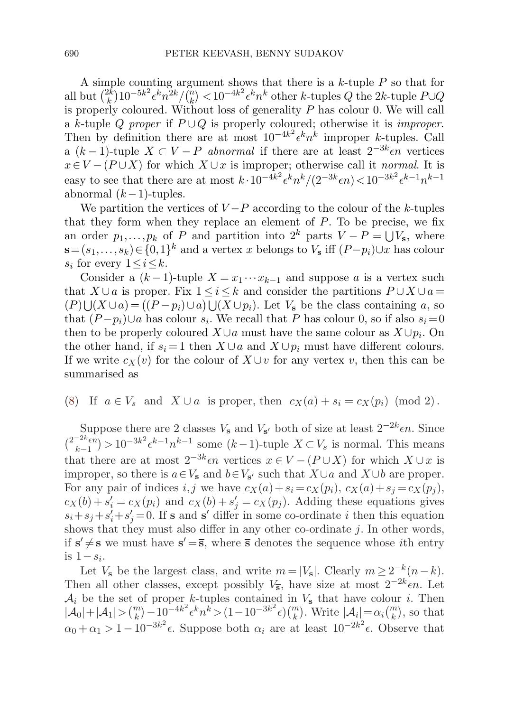<span id="page-17-0"></span>A simple counting argument shows that there is a  $k$ -tuple  $P$  so that for all but  $\binom{2k}{k}10^{-5k^2}\epsilon^k n^{2k}/\binom{n}{k}$   $<$   $10^{-4k^2}\epsilon^k n^k$  other k-tuples  $Q$  the 2k-tuple  $P\cup Q$ is properly coloured. Without loss of generality  $P$  has colour 0. We will call a k-tuple Q proper if  $P \cup Q$  is properly coloured; otherwise it is *improper*. Then by definition there are at most  $10^{-4k^2} \epsilon^k n^k$  improper k-tuples. Call a  $(k-1)$ -tuple  $X \subset V - P$  abnormal if there are at least  $2^{-3k} \epsilon n$  vertices  $x \in V - (P \cup X)$  for which  $X \cup x$  is improper; otherwise call it normal. It is easy to see that there are at most  $k \cdot 10^{-4k^2} \epsilon^k n^k / (2^{-3k} \epsilon n) < 10^{-3k^2} \epsilon^{k-1} n^{k-1}$ abnormal  $(k-1)$ -tuples.

We partition the vertices of  $V-P$  according to the colour of the k-tuples that they form when they replace an element of  $P$ . To be precise, we fix an order  $p_1, \ldots, p_k$  of P and partition into  $2^k$  parts  $V - P = \bigcup V_s$ , where **s**=  $(s_1,...,s_k)$  ∈  $\{0,1\}^k$  and a vertex x belongs to  $V_s$  iff  $(P-p_i) \cup x$  has colour  $s_i$  for every  $1 \leq i \leq k$ .

Consider a  $(k-1)$ -tuple  $X = x_1 \cdots x_{k-1}$  and suppose a is a vertex such that  $X \cup a$  is proper. Fix  $1 \leq i \leq k$  and consider the partitions  $P \cup X \cup a =$  $(P) \bigcup (X \cup a) = ((P - p_i) \cup a) \bigcup (X \cup p_i)$ . Let  $V_s$  be the class containing a, so that  $(P-p_i) \cup a$  has colour  $s_i$ . We recall that P has colour 0, so if also  $s_i=0$ then to be properly coloured  $X \cup a$  must have the same colour as  $X \cup p_i$ . On the other hand, if  $s_i = 1$  then  $X \cup a$  and  $X \cup p_i$  must have different colours. If we write  $c_X(v)$  for the colour of  $X \cup v$  for any vertex v, then this can be summarised as

(8) If  $a \in V_s$  and  $X \cup a$  is proper, then  $c_X(a) + s_i = c_X(p_i) \pmod{2}$ .

Suppose there are 2 classes  $V_s$  and  $V_{s}$  both of size at least  $2^{-2k}\epsilon n$ . Since  $\binom{2^{-2k}\epsilon n}{k-1} > 10^{-3k^2} \epsilon^{k-1} n^{k-1}$  some  $(k-1)$ -tuple  $X \subset V_s$  is normal. This means that there are at most  $2^{-3k}\epsilon n$  vertices  $x \in V - (P \cup X)$  for which  $X \cup x$  is improper, so there is  $a \in V_s$  and  $b \in V_{s'}$  such that  $X \cup a$  and  $X \cup b$  are proper. For any pair of indices i, j we have  $c_X(a)+s_i = c_X(p_i), c_X(a)+s_i = c_X(p_i),$  $c_X(b) + s'_i = c_X(p_i)$  and  $c_X(b) + s'_j = c_X(p_j)$ . Adding these equations gives  $s_i + s_j + s'_i + s'_j = 0$ . If **s** and **s**' differ in some co-ordinate i then this equation shows that they must also differ in any other co-ordinate  $j$ . In other words, if  $s' \neq s$  we must have  $s' = \overline{s}$ , where  $\overline{s}$  denotes the sequence whose *i*th entry is  $1-s_i$ .

Let  $V_s$  be the largest class, and write  $m = |V_s|$ . Clearly  $m \ge 2^{-k}(n-k)$ . Then all other classes, except possibly  $V_{\overline{s}}$ , have size at most  $2^{-2k}\epsilon n$ . Let  $A_i$  be the set of proper k-tuples contained in  $V_s$  that have colour i. Then  $|\mathcal{A}_0|+|\mathcal{A}_1| > \binom{m}{k}-10^{-4k^2} \epsilon^k n^k > (1-10^{-3k^2} \epsilon) \binom{m}{k}$ . Write  $|\mathcal{A}_i| = \alpha_i \binom{m}{k}$ , so that  $\alpha_0 + \alpha_1 > 1 - 10^{-3k^2} \epsilon$ . Suppose both  $\alpha_i$  are at least  $10^{-2k^2} \epsilon$ . Observe that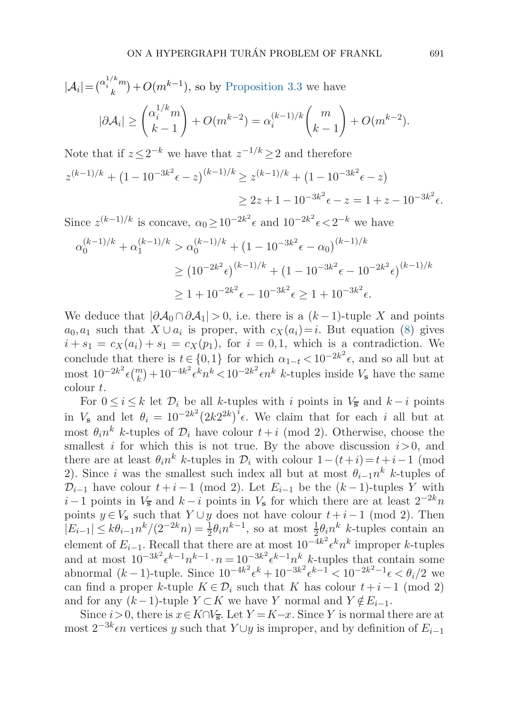$$
|\mathcal{A}_i| = \binom{\alpha_i^{1/k}m}{k} + O(m^{k-1}),
$$
 so by Proposition 3.3 we have  

$$
|\partial \mathcal{A}_i| \ge \binom{\alpha_i^{1/k}m}{k-1} + O(m^{k-2}) = \alpha_i^{(k-1)/k} \binom{m}{k-1} + O(m^{k-2}).
$$

Note that if  $z \leq 2^{-k}$  we have that  $z^{-1/k} \geq 2$  and therefore

$$
z^{(k-1)/k} + (1 - 10^{-3k^2} \epsilon - z)^{(k-1)/k} \ge z^{(k-1)/k} + (1 - 10^{-3k^2} \epsilon - z)
$$
  
 
$$
\ge 2z + 1 - 10^{-3k^2} \epsilon - z = 1 + z - 10^{-3k^2} \epsilon.
$$

Since  $z^{(k-1)/k}$  is concave,  $\alpha_0 \geq 10^{-2k^2} \epsilon$  and  $10^{-2k^2} \epsilon < 2^{-k}$  we have

$$
\alpha_0^{(k-1)/k} + \alpha_1^{(k-1)/k} > \alpha_0^{(k-1)/k} + (1 - 10^{-3k^2} \epsilon - \alpha_0)^{(k-1)/k}
$$
\n
$$
\geq (10^{-2k^2} \epsilon)^{(k-1)/k} + (1 - 10^{-3k^2} \epsilon - 10^{-2k^2} \epsilon)^{(k-1)/k}
$$
\n
$$
\geq 1 + 10^{-2k^2} \epsilon - 10^{-3k^2} \epsilon \geq 1 + 10^{-3k^2} \epsilon.
$$

We deduce that  $|\partial A_0 \cap \partial A_1| > 0$ , i.e. there is a  $(k-1)$ -tuple X and points  $a_0, a_1$  such that  $X \cup a_i$  is proper, with  $c_X(a_i)=i$ . But equation [\(8\)](#page-17-0) gives  $i + s_1 = c_X(a_i) + s_1 = c_X(p_1)$ , for  $i = 0,1$ , which is a contradiction. We conclude that there is  $t \in \{0, 1\}$  for which  $\alpha_{1-t} < 10^{-2k^2} \epsilon$ , and so all but at most  $10^{-2k^2} \epsilon {m \choose k} + 10^{-4k^2} \epsilon^k n^k < 10^{-2k^2} \epsilon n^k$  k-tuples inside  $V_s$  have the same colour t.

For  $0 \leq i \leq k$  let  $\mathcal{D}_i$  be all k-tuples with i points in  $V_{\overline{s}}$  and  $k-i$  points in  $V_s$  and let  $\theta_i = 10^{-2k^2} (2k2^{2k})^i \epsilon$ . We claim that for each i all but at most  $\theta_i n^k$  k-tuples of  $\mathcal{D}_i$  have colour  $t + i$  (mod 2). Otherwise, choose the smallest i for which this is not true. By the above discussion  $i>0$ , and there are at least  $\theta_i n^k$  k-tuples in  $\mathcal{D}_i$  with colour  $1-(t+i) = t+i-1$  (mod 2). Since i was the smallest such index all but at most  $\theta_{i-1}n^k$  k-tuples of  $\mathcal{D}_{i-1}$  have colour  $t+i-1$  (mod 2). Let  $E_{i-1}$  be the  $(k-1)$ -tuples Y with  $i-1$  points in  $V_{\overline{s}}$  and  $k-i$  points in  $V_{\overline{s}}$  for which there are at least  $2^{-2k}n$ points  $y \in V_s$  such that  $Y \cup y$  does not have colour  $t+i-1$  (mod 2). Then  $|E_{i-1}| \leq k\theta_{i-1}n^k/(2^{-2k}n) = \frac{1}{2}\theta_i n^{k-1}$ , so at most  $\frac{1}{2}\theta_i n^k$  k-tuples contain an element of  $E_{i-1}$ . Recall that there are at most  $10^{-4k^2} \epsilon^k n^k$  improper k-tuples and at most  $10^{-3k^2} \epsilon^{k-1} n^{k-1} \cdot n = 10^{-3k^2} \epsilon^{k-1} n^k$  k-tuples that contain some abnormal  $(k-1)$ -tuple. Since  $10^{-4k^2} \epsilon^k + 10^{-3k^2} \epsilon^{k-1} < 10^{-2k^2-1} \epsilon < \theta_i/2$  we can find a proper k-tuple  $K \in \mathcal{D}_i$  such that K has colour  $t+i-1$  (mod 2) and for any  $(k-1)$ -tuple  $Y \subset K$  we have Y normal and  $Y \notin E_{i-1}$ .

Since  $i>0$ , there is  $x \in K \cap V_{\overline{s}}$ . Let  $Y = K-x$ . Since Y is normal there are at most  $2^{-3k}$  $\epsilon n$  vertices y such that  $Y \cup y$  is improper, and by definition of  $E_{i-1}$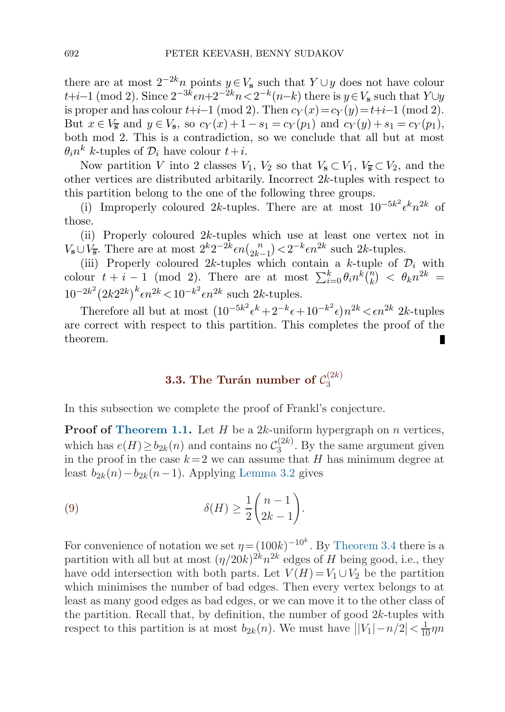<span id="page-19-0"></span>there are at most  $2^{-2k}n$  points  $y \in V_s$  such that  $Y \cup y$  does not have colour  $t+i-1$  (mod 2). Since  $2^{-3k} \epsilon n+2^{-2k}n<2^{-k}(n-k)$  there is  $y \in V_s$  such that  $Y \cup y$ is proper and has colour  $t+i-1 \pmod{2}$ . Then  $c_Y(x)=c_Y(y)=t+i-1 \pmod{2}$ . But  $x \in V_{\overline{s}}$  and  $y \in V_s$ , so  $c_Y(x) + 1 - s_1 = c_Y(p_1)$  and  $c_Y(y) + s_1 = c_Y(p_1)$ , both mod 2. This is a contradiction, so we conclude that all but at most  $\theta_i n^k$  k-tuples of  $\mathcal{D}_i$  have colour  $t+i$ .

Now partition V into 2 classes  $V_1$ ,  $V_2$  so that  $V_3 \subset V_1$ ,  $V_3 \subset V_2$ , and the other vertices are distributed arbitarily. Incorrect 2k-tuples with respect to this partition belong to the one of the following three groups.

(i) Improperly coloured 2k-tuples. There are at most  $10^{-5k^2} \epsilon^k n^{2k}$  of those.

(ii) Properly coloured 2k-tuples which use at least one vertex not in  $V_{s}$ ∪ $V_{\overline{s}}$ . There are at most  $2^{k}2^{-2k} \epsilon n {n \choose 2k-1} < 2^{-k} \epsilon n^{2k}$  such 2k-tuples.

 $\sum_{k=1}^{\infty}$  at the case of  $n_{2k-1}$  and  $2k-1$  and  $2k-1$  and  $2k-1$  and  $2k-1$  and  $2k-1$  and  $2k-1$  and  $2k-1$  and  $2k-1$  and  $2k-1$  and  $2k-1$  and  $2k-1$  and  $2k-1$  and  $2k-1$  and  $2k-1$  and  $2k-1$  and  $2k-1$  and colour  $t + i - 1$  (mod 2). There are at most  $\sum_{i=0}^{k} \theta_i n^k \binom{n}{k} < \theta_k n^{2k} =$  $10^{-2k^2} (2k2^{2k})^k \epsilon n^{2k} < 10^{-k^2} \epsilon n^{2k}$  such  $2k$ -tuples.

Therefore all but at most  $(10^{-5k^2} \epsilon^k + 2^{-k} \epsilon + 10^{-k^2} \epsilon) n^{2k} < \epsilon n^{2k}$  2k-tuples are correct with respect to this partition. This completes the proof of the theorem.

## **3.3.** The Turán number of  $\mathcal{C}_3^{(2k)}$

In this subsection we complete the proof of Frankl's conjecture.

**Proof of [Theorem 1.1.](#page-1-0)** Let  $H$  be a  $2k$ -uniform hypergraph on  $n$  vertices, which has  $e(H) \ge b_{2k}(n)$  and contains no  $\mathcal{C}_3^{(2k)}$ . By the same argument given in the proof in the case  $k=2$  we can assume that H has minimum degree at least  $b_{2k}(n)-b_{2k}(n-1)$ . Applying [Lemma 3.2](#page-15-0) gives

(9) 
$$
\delta(H) \geq \frac{1}{2} {n-1 \choose 2k-1}.
$$

For convenience of notation we set  $\eta = (100k)^{-10^k}$ . By [Theorem 3.4](#page-16-0) there is a partition with all but at most  $(\eta/20k)^{2k}n^{2k}$  edges of H being good, i.e., they have odd intersection with both parts. Let  $V(H) = V_1 \cup V_2$  be the partition which minimises the number of bad edges. Then every vertex belongs to at least as many good edges as bad edges, or we can move it to the other class of the partition. Recall that, by definition, the number of good  $2k$ -tuples with respect to this partition is at most  $b_{2k}(n)$ . We must have  $\left| |V_1| - n/2 \right| < \frac{1}{10}\eta n$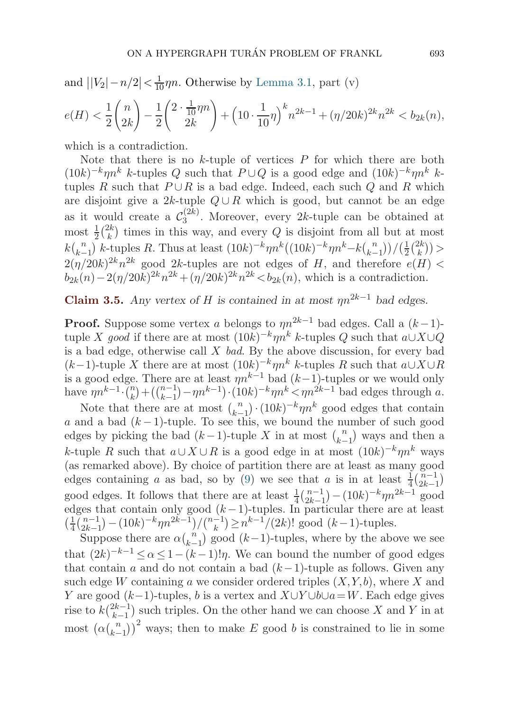<span id="page-20-0"></span>and  $\left| |V_2| - n/2 \right| < \frac{1}{10}\eta n$ . Otherwise by [Lemma 3.1](#page-13-0), part (v)

$$
e(H) < \frac{1}{2} \binom{n}{2k} - \frac{1}{2} \binom{2 \cdot \frac{1}{10} \eta n}{2k} + \left(10 \cdot \frac{1}{10} \eta\right)^k n^{2k-1} + \left(\eta/20k\right)^{2k} n^{2k} < b_{2k}(n),
$$

which is a contradiction.

Note that there is no  $k$ -tuple of vertices  $P$  for which there are both  $(10k)^{-k} \eta n^k$  k-tuples Q such that  $P \cup Q$  is a good edge and  $(10k)^{-k} \eta n^k$  ktuples R such that  $P \cup R$  is a bad edge. Indeed, each such Q and R which are disjoint give a 2k-tuple  $Q \cup R$  which is good, but cannot be an edge as it would create a  $\mathcal{C}_3^{(2k)}$ . Moreover, every 2k-tuple can be obtained at most  $\frac{1}{2} {2k \choose k}$  times in this way, and every Q is disjoint from all but at most  $k {n \choose k-1}$  k-tuples R. Thus at least  $(10k)^{-k} \eta n^{k} ((10k)^{-k} \eta n^{k-k} {n \choose k-1}) / (\frac{1}{2} {2k \choose k})$  $\frac{2(\eta/20k)^{2k}n^{2k}}{2^{(1/20k)^{2k}}n^{2k}}$  good 2k-tuples are not edges of H, and therefore  $e(H)$  $b_{2k}(n)-2(\eta/20k)^{2k}n^{2k}+(\eta/20k)^{2k}n^{2k} < b_{2k}(n)$ , which is a contradiction.

**Claim 3.5.** *Any vertex of* H *is contained in at most*  $m^{2k-1}$  *bad edges.* 

**Proof.** Suppose some vertex a belongs to  $\eta n^{2k-1}$  bad edges. Call a  $(k-1)$ tuple X good if there are at most  $(10k)^{-k}$  $m^k$  k-tuples Q such that  $a\cup X\cup Q$ is a bad edge, otherwise call  $X$  bad. By the above discussion, for every bad  $(k-1)$ -tuple X there are at most  $(10k)^{-k} \eta n^k$  k-tuples R such that  $a \cup X \cup R$ is a good edge. There are at least  $\eta n^{k-1}$  bad  $(k-1)$ -tuples or we would only have  $\eta n^{k-1} \cdot {n \choose k} + (n-1 \choose k-1} - \eta n^{k-1}) \cdot (10k)^{-k} \eta n^k < \eta n^{2k-1}$  bad edges through a.

Note that there are at most  $\binom{n}{k-1} \cdot (10k)^{-k} \eta n^k$  good edges that contain a and a bad  $(k-1)$ -tuple. To see this, we bound the number of such good edges by picking the bad  $(k-1)$ -tuple X in at most  $\binom{n}{k-1}$  ways and then a k-tuple R such that  $a \cup X \cup R$  is a good edge in at most  $(10k)^{-k} \eta n^k$  ways (as remarked above). By choice of partition there are at least as many good edges containing a as bad, so by ([9](#page-19-0)) we see that a is in at least  $\frac{1}{4}(\frac{n-1}{2k-1})$ good edges. It follows that there are at least  $\frac{1}{4} \binom{n-1}{2k-1} - (10k)^{-k} \eta n^{2k-1}$  good edges that contain only good  $(k-1)$ -tuples. In particular there are at least  $\left(\frac{1}{4}\left(\frac{n-1}{2k-1}\right)-\left(10k\right)^{-k}\eta n^{2k-1}\right)/\binom{n-1}{k}\geq n^{k-1}/(2k)!$  good  $(k-1)$ -tuples.

Suppose there are  $\alpha {n \choose k-1}$  good  $(k-1)$ -tuples, where by the above we see that  $(2k)^{-k-1} \le \alpha \le 1-(k-1)!$ , We can bound the number of good edges that contain a and do not contain a bad  $(k-1)$ -tuple as follows. Given any such edge W containing a we consider ordered triples  $(X, Y, b)$ , where X and Y are good  $(k-1)$ -tuples, b is a vertex and  $X\cup Y\cup b\cup a=W$ . Each edge gives rise to  $k\binom{2k-1}{k-1}$  such triples. On the other hand we can choose X and Y in at most  $(\alpha \binom{n}{k-1})^2$  ways; then to make E good b is constrained to lie in some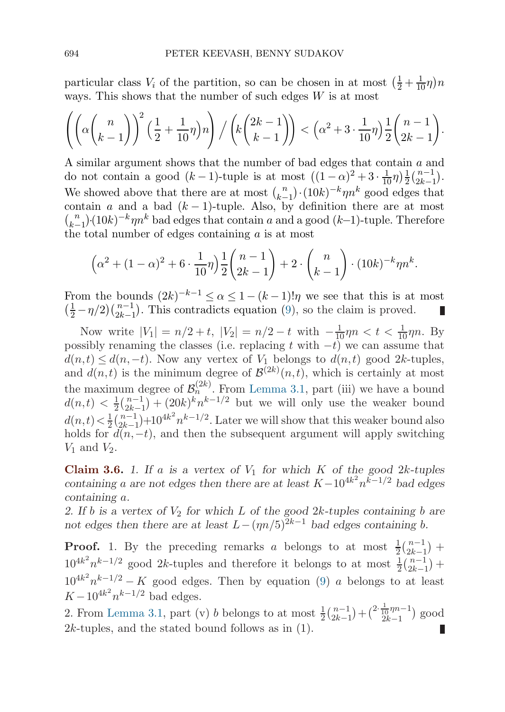<span id="page-21-0"></span>particular class  $V_i$  of the partition, so can be chosen in at most  $\left(\frac{1}{2} + \frac{1}{10}\eta\right)n$ ways. This shows that the number of such edges  $W$  is at most

$$
\left( \left( \alpha \binom{n}{k-1} \right)^2 \left( \frac{1}{2} + \frac{1}{10} \eta \right) n \right) / \left( k \binom{2k-1}{k-1} \right) < \left( \alpha^2 + 3 \cdot \frac{1}{10} \eta \right) \frac{1}{2} \binom{n-1}{2k-1}.
$$

A similar argument shows that the number of bad edges that contain a and do not contain a good  $(k-1)$ -tuple is at most  $((1-\alpha)^2 + 3 \cdot \frac{1}{10}\eta)\frac{1}{2}$  $\frac{1}{2} \binom{n-1}{2k-1}.$ We showed above that there are at most  $\binom{n}{k-1} \cdot (10k)^{-k} \eta n^k$  good edges that contain a and a bad  $(k-1)$ -tuple. Also, by definition there are at most  $\binom{n}{k-1}$  (10k)<sup>-k</sup>ηn<sup>k</sup> bad edges that contain a and a good (k–1)-tuple. Therefore the total number of edges containing  $a$  is at most

$$
\left(\alpha^2 + (1 - \alpha)^2 + 6 \cdot \frac{1}{10}\eta\right) \frac{1}{2} \binom{n-1}{2k-1} + 2 \cdot \binom{n}{k-1} \cdot (10k)^{-k} \eta n^k.
$$

From the bounds  $(2k)^{-k-1} \le \alpha \le 1-(k-1)! \eta$  we see that this is at most  $\left(\frac{1}{2} - \frac{\eta}{2}\right) \binom{n-1}{2k-1}$ . This contradicts equation [\(9\)](#page-19-0), so the claim is proved.

Now write  $|V_1| = n/2 + t$ ,  $|V_2| = n/2 - t$  with  $-\frac{1}{10}\eta n < t < \frac{1}{10}\eta n$ . By possibly renaming the classes (i.e. replacing t with  $-t$ ) we can assume that  $d(n, t) \leq d(n, -t)$ . Now any vertex of  $V_1$  belongs to  $d(n, t)$  good 2k-tuples, and  $d(n,t)$  is the minimum degree of  $\mathcal{B}^{(2k)}(n,t)$ , which is certainly at most the maximum degree of  $\mathcal{B}_n^{(2k)}$ . From [Lemma 3.1,](#page-13-0) part (iii) we have a bound  $d(n,t) < \frac{1}{2} \binom{n-1}{2k-1} + (20k)^k n^{k-1/2}$  but we will only use the weaker bound  $d(n,t) < \frac{1}{2} {n-1 \choose 2k-1} + 10^{4k^2} n^{k-1/2}$ . Later we will show that this weaker bound also holds for  $d(n,-t)$ , and then the subsequent argument will apply switching  $V_1$  and  $V_2$ .

**Claim 3.6.** *1.* If a is a vertex of  $V_1$  for which K of the good 2k-tuples *containing* a are not edges then there are at least  $K-10^{4k^2}n^{k-1/2}$  bad edges *containing* a*.*

2. If *b* is a vertex of  $V_2$  for which L of the good 2k-tuples containing *b* are *not edges then there are at least*  $L-(\eta n/5)^{2k-1}$  *bad edges containing b.* 

**Proof.** 1. By the preceding remarks a belongs to at most  $\frac{1}{2} \binom{n-1}{2k-1}$  +  $10^{4k^2} n^{k-1/2}$  good 2k-tuples and therefore it belongs to at most  $\frac{1}{2} {n-1 \choose 2k-1}$  +  $10^{4k^2}n^{k-1/2} - K$  good edges. Then by equation ([9](#page-19-0)) a belongs to at least  $K - 10^{4k^2} n^{k-1/2}$  bad edges.

2. From [Lemma 3.1,](#page-13-0) part (v) *b* belongs to at most  $\frac{1}{2} {n-1 \choose 2k-1} + {2 \cdot \frac{1}{10} \eta n - 1 \choose 2k-1}$  $\frac{10^{7n-1}}{2k-1}$  good  $2k$ -tuples, and the stated bound follows as in  $(1)$ .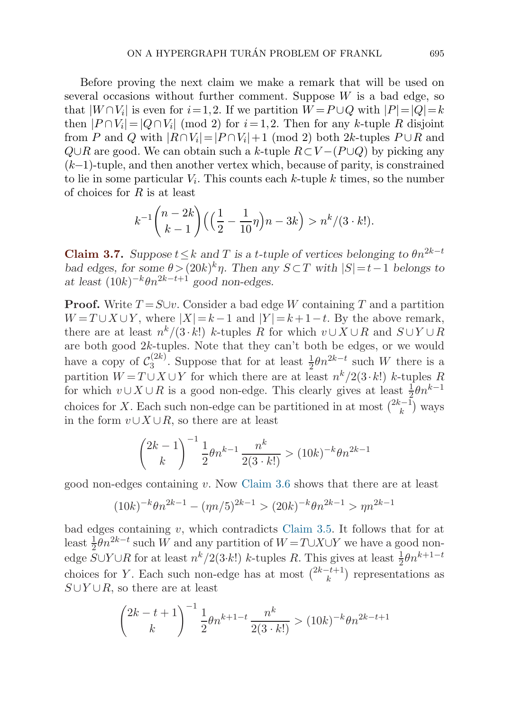<span id="page-22-0"></span>Before proving the next claim we make a remark that will be used on several occasions without further comment. Suppose  $W$  is a bad edge, so that  $|W \cap V_i|$  is even for  $i=1,2$ . If we partition  $W = P \cup Q$  with  $|P| = |Q| = k$ then  $|P \cap V_i| = |Q \cap V_i| \pmod{2}$  for  $i = 1, 2$ . Then for any k-tuple R disjoint from P and Q with  $|R \cap V_i| = |P \cap V_i| + 1 \pmod{2}$  both 2k-tuples  $P \cup R$  and  $Q\cup R$  are good. We can obtain such a k-tuple  $R\subset V-(P\cup Q)$  by picking any  $(k-1)$ -tuple, and then another vertex which, because of parity, is constrained to lie in some particular  $V_i$ . This counts each k-tuple k times, so the number of choices for  $R$  is at least

$$
k^{-1}\binom{n-2k}{k-1}\left(\left(\frac{1}{2}-\frac{1}{10}\eta\right)n-3k\right) > n^k/(3 \cdot k!).
$$

**Claim 3.7.** *Suppose*  $t \leq k$  *and*  $T$  *is a t-tuple of vertices belonging to*  $\theta n^{2k-t}$ *bad edges, for some*  $\theta$  >  $(20k)^k \eta$ *. Then any*  $S \subset T$  *with*  $|S| = t-1$  *belongs to at least*  $(10k)^{-k}\theta n^{2k-t+1}$  *good non-edges.* 

**Proof.** Write  $T = S \cup v$ . Consider a bad edge W containing T and a partition  $W = T \cup X \cup Y$ , where  $|X| = k - 1$  and  $|Y| = k + 1 - t$ . By the above remark, there are at least  $n^{k}/(3 \cdot k!)$  k-tuples R for which  $v \cup X \cup R$  and  $S \cup Y \cup R$ are both good 2k-tuples. Note that they can't both be edges, or we would have a copy of  $\mathcal{C}_3^{(2k)}$ . Suppose that for at least  $\frac{1}{2}\theta n^{2k-t}$  such W there is a partition  $W = T \cup X \cup Y$  for which there are at least  $n^k/2(3 \cdot k!)$  k-tuples R for which  $v \cup X \cup R$  is a good non-edge. This clearly gives at least  $\frac{1}{2}\theta n^{k-1}$ choices for X. Each such non-edge can be partitioned in at most  $\binom{2k-1}{k}$  ways in the form  $v \cup X \cup R$ , so there are at least

$$
\binom{2k-1}{k}^{-1} \frac{1}{2} \theta n^{k-1} \frac{n^k}{2(3 \cdot k!)} > (10k)^{-k} \theta n^{2k-1}
$$

good non-edges containing v. Now [Claim 3.6](#page-21-0) shows that there are at least

$$
(10k)^{-k}\theta n^{2k-1} - (\eta n/5)^{2k-1} > (20k)^{-k}\theta n^{2k-1} > \eta n^{2k-1}
$$

bad edges containing  $v$ , which contradicts [Claim 3.5.](#page-20-0) It follows that for at least  $\frac{1}{2} \theta n^{2k-t}$  such W and any partition of  $W = T \cup X \cup Y$  we have a good nonedge  $S \cup Y \cup R$  for at least  $n^k/2(3 \cdot k!)$  k-tuples R. This gives at least  $\frac{1}{2} \theta n^{k+1-t}$ choices for Y. Each such non-edge has at most  $\binom{2k-t+1}{k}$  representations as  $S \cup Y \cup R$ , so there are at least

$$
\binom{2k-t+1}{k}^{-1} \frac{1}{2} \theta n^{k+1-t} \frac{n^k}{2(3 \cdot k!)} > (10k)^{-k} \theta n^{2k-t+1}
$$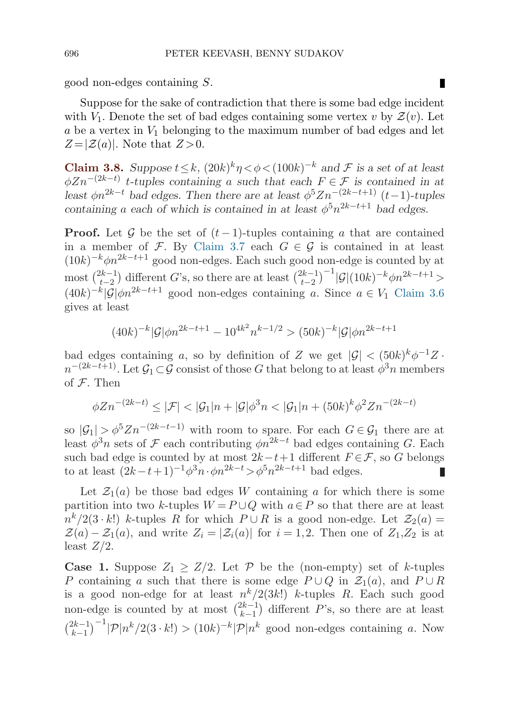П

<span id="page-23-0"></span>good non-edges containing S.

Suppose for the sake of contradiction that there is some bad edge incident with  $V_1$ . Denote the set of bad edges containing some vertex v by  $\mathcal{Z}(v)$ . Let a be a vertex in  $V_1$  belonging to the maximum number of bad edges and let  $Z = |Z(a)|$ . Note that  $Z > 0$ .

**Claim 3.8.** *Suppose*  $t \leq k$ ,  $(20k)^k \eta \leq \phi \leq (100k)^{-k}$  *and*  $\mathcal F$  *is a set of at least*  $\phi Zn^{-(2k-t)}$  *t*-tuples containing a such that each  $F \in \mathcal{F}$  is contained in at *least*  $\phi n^{2k-t}$  *bad edges. Then there are at least*  $\phi^5 Z n^{-(2k-t+1)}$  (t−1)*-tuples containing* a *each of which is contained in at least*  $\phi^5 n^{2k-t+1}$  *bad edges.* 

**Proof.** Let G be the set of  $(t-1)$ -tuples containing a that are contained in a member of F. By [Claim 3.7](#page-22-0) each  $G \in \mathcal{G}$  is contained in at least  $(10k)^{-k} \phi n^{2k-t+1}$  good non-edges. Each such good non-edge is counted by at most  $\binom{2k-1}{t-2}$  different G's, so there are at least  $\binom{2k-1}{t-2}^{-1} |\mathcal{G}| (10k)^{-k} \phi n^{2k-t+1} >$  $(40k)^{-k}|\tilde{G}|\phi n^{2k-t+1}$  good non-edges containing a. Since  $a \in V_1$  [Claim 3.6](#page-21-0) gives at least

$$
(40k)^{-k}|\mathcal{G}|\phi n^{2k-t+1} - 10^{4k^2}n^{k-1/2} > (50k)^{-k}|\mathcal{G}|\phi n^{2k-t+1}
$$

bad edges containing a, so by definition of Z we get  $|\mathcal{G}| < (50k)^k \phi^{-1}Z$ .  $n^{-(2k-t+1)}$ . Let  $\mathcal{G}_1 \subset \mathcal{G}$  consist of those G that belong to at least  $\phi^3 n$  members of  $F$ . Then

$$
\phi Z n^{-(2k-t)} \le |\mathcal{F}| < |\mathcal{G}_1| n + |\mathcal{G}| \phi^3 n < |\mathcal{G}_1| n + (50k)^k \phi^2 Z n^{-(2k-t)}
$$

so  $|\mathcal{G}_1| > \phi^5 Z n^{-(2k-t-1)}$  with room to spare. For each  $G \in \mathcal{G}_1$  there are at least  $\phi^3 n$  sets of F each contributing  $\phi n^{2k-t}$  bad edges containing G. Each such bad edge is counted by at most  $2k-t+1$  different  $F \in \mathcal{F}$ , so G belongs to at least  $(2k-t+1)^{-1}\phi^3n \cdot \phi n^{2k-t} > \phi^5n^{2k-t+1}$  bad edges. П

Let  $\mathcal{Z}_1(a)$  be those bad edges W containing a for which there is some partition into two k-tuples  $W = P \cup Q$  with  $a \in P$  so that there are at least  $n^{k}/2(3 \cdot k!)$  k-tuples R for which  $P \cup R$  is a good non-edge. Let  $\mathcal{Z}_{2}(a) =$  $\mathcal{Z}(a) - \mathcal{Z}_1(a)$ , and write  $Z_i = |\mathcal{Z}_i(a)|$  for  $i = 1,2$ . Then one of  $Z_1, Z_2$  is at least  $Z/2$ .

**Case 1.** Suppose  $Z_1 \geq Z/2$ . Let P be the (non-empty) set of k-tuples P containing a such that there is some edge  $P \cup Q$  in  $\mathcal{Z}_1(a)$ , and  $P \cup R$ is a good non-edge for at least  $n^k/2(3k!)$  k-tuples R. Each such good non-edge is counted by at most  $\binom{2k-1}{k-1}$  different P's, so there are at least  $\binom{2k-1}{k-1}^{-1}$  |P| $n^k/2(3 \cdot k!) > (10k)^{-k}$  |P| $n^k$  good non-edges containing a. Now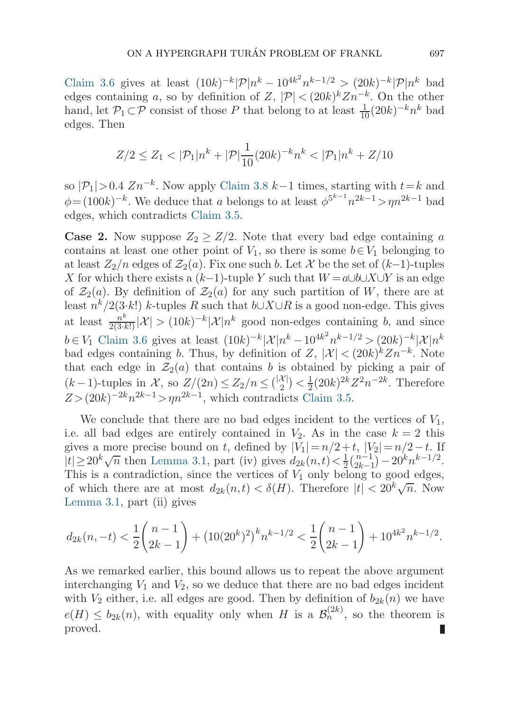[Claim 3.6](#page-21-0) gives at least  $(10k)^{-k} |{\mathcal{P}}|n^k - 10^{4k^2}n^{k-1/2} > (20k)^{-k} |{\mathcal{P}}|n^k$  bad edges containing a, so by definition of Z,  $|\mathcal{P}| < (20k)^k Zn^{-k}$ . On the other hand, let  $\mathcal{P}_1 \subset \mathcal{P}$  consist of those P that belong to at least  $\frac{1}{10}(20k)^{-k}n^k$  bad edges. Then

$$
Z/2 \le Z_1 < |\mathcal{P}_1|n^k + |\mathcal{P}|\frac{1}{10}(20k)^{-k}n^k < |\mathcal{P}_1|n^k + Z/10
$$

so  $|\mathcal{P}_1|>0.4$   $Zn^{-k}$ . Now apply [Claim 3.8](#page-23-0)  $k-1$  times, starting with  $t=k$  and  $\phi = (100k)^{-k}$ . We deduce that a belongs to at least  $\phi^{5^{k-1}} n^{2k-1} > \eta n^{2k-1}$  bad edges, which contradicts [Claim 3.5](#page-20-0).

**Case 2.** Now suppose  $Z_2 \geq Z/2$ . Note that every bad edge containing a contains at least one other point of  $V_1$ , so there is some  $b \in V_1$  belonging to at least  $Z_2/n$  edges of  $\mathcal{Z}_2(a)$ . Fix one such b. Let X be the set of  $(k-1)$ -tuples X for which there exists a  $(k-1)$ -tuple Y such that  $W = a \cup b \cup X \cup Y$  is an edge of  $\mathcal{Z}_2(a)$ . By definition of  $\mathcal{Z}_2(a)$  for any such partition of W, there are at least  $n^k/2(3\cdot k!)$  k-tuples R such that  $b\cup X\cup R$  is a good non-edge. This gives at least  $\frac{n^k}{2(3\cdot k!)}|\mathcal{X}| > (10k)^{-k}|\mathcal{X}|n^k$  good non-edges containing b, and since  $b \in V_1$  [Claim 3.6](#page-21-0) gives at least  $(10k)^{-k} |\mathcal{X}| n^k - 10^{4k^2} n^{k-1/2} > (20k)^{-k} |\mathcal{X}| n^k$ bad edges containing b. Thus, by definition of  $Z$ ,  $|\mathcal{X}| < (20k)^k Zn^{-k}$ . Note that each edge in  $\mathcal{Z}_2(a)$  that contains b is obtained by picking a pair of  $(k-1)$ -tuples in X, so  $Z/(2n) \leq Z_2/n \leq {\binom{|\mathcal{X}|}{2}} < \frac{1}{2}(20k)^{2k}Z^2n^{-2k}$ . Therefore  $Z > (20k)^{-2k}n^{2k-1} > \eta n^{2k-1}$ , which contradicts [Claim 3.5](#page-20-0).

We conclude that there are no bad edges incident to the vertices of  $V_1$ , i.e. all bad edges are entirely contained in  $V_2$ . As in the case  $k = 2$  this gives a more precise bound on t, defined by  $|V_1| = n/2 + t$ ,  $|V_2| = n/2 - t$ . If  $|t| \ge 20^k \sqrt{n}$  then [Lemma 3.1](#page-13-0), part (iv) gives  $d_{2k}(n, t) < \frac{1}{2} {n-1 \choose 2k-1} - 20^k n^{k-1/2}$ . This is a contradiction, since the vertices of  $V_1$  only belong to good edges, of which there are at most  $d_{2k}(n,t) < \delta(H)$ . Therefore  $|t| < 20^k \sqrt{n}$ . Now [Lemma 3.1](#page-13-0), part (ii) gives

$$
d_{2k}(n,-t) < \frac{1}{2}\binom{n-1}{2k-1} + \left(10(20^k)^2\right)^k n^{k-1/2} < \frac{1}{2}\binom{n-1}{2k-1} + 10^{4k^2} n^{k-1/2}.
$$

As we remarked earlier, this bound allows us to repeat the above argument interchanging  $V_1$  and  $V_2$ , so we deduce that there are no bad edges incident with  $V_2$  either, i.e. all edges are good. Then by definition of  $b_{2k}(n)$  we have  $e(H) \leq b_{2k}(n)$ , with equality only when H is a  $\mathcal{B}_n^{(2k)}$ , so the theorem is proved.П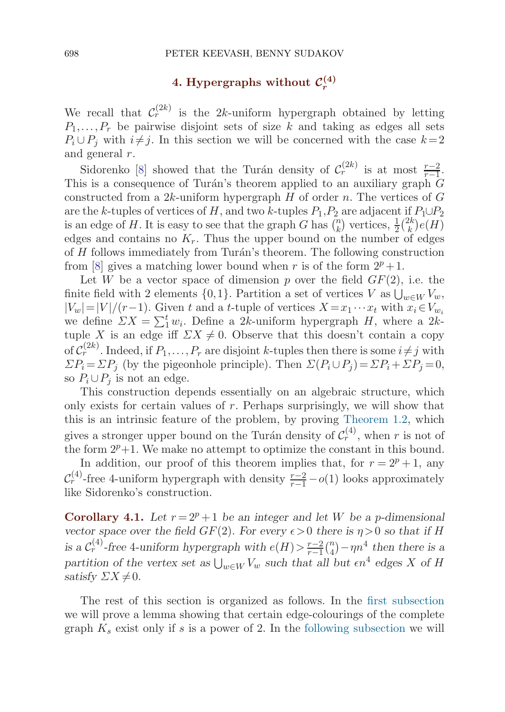### 4. Hypergraphs without  $\mathcal{C}_r^{(4)}$

<span id="page-25-0"></span>We recall that  $\mathcal{C}_r^{(2k)}$  is the 2k-uniform hypergraph obtained by letting  $P_1, \ldots, P_r$  be pairwise disjoint sets of size k and taking as edges all sets  $P_i \cup P_j$  with  $i \neq j$ . In this section we will be concerned with the case  $k=2$ and general r.

Sidorenko [\[8\]](#page-33-0) showed that the Turán density of  $\mathcal{C}_r^{(2k)}$  is at most  $\frac{r-2}{r-1}$ . This is a consequence of Turán's theorem applied to an auxiliary graph  $\overline{G}$ constructed from a  $2k$ -uniform hypergraph  $H$  of order n. The vertices of  $G$ are the k-tuples of vertices of H, and two k-tuples  $P_1, P_2$  are adjacent if  $P_1 \cup P_2$ is an edge of H. It is easy to see that the graph G has  $\binom{n}{k}$  vertices,  $\frac{1}{2} \binom{2k}{k} e(H)$ edges and contains no  $K_r$ . Thus the upper bound on the number of edges of  $H$  follows immediately from Turán's theorem. The following construction from [\[8\]](#page-33-0) gives a matching lower bound when r is of the form  $2^p + 1$ .

Let W be a vector space of dimension p over the field  $GF(2)$ , i.e. the finite field with 2 elements  $\{0,1\}$ . Partition a set of vertices V as  $\bigcup_{w\in W}V_w$ ,  $|V_w|=|V|/(r-1)$ . Given t and a t-tuple of vertices  $X=x_1\cdots x_t$  with  $x_i\in V_{w_i}$ we define  $\sum X = \sum_1^t w_i$ . Define a 2k-uniform hypergraph H, where a 2ktuple X is an edge iff  $\sum X \neq 0$ . Observe that this doesn't contain a copy of  $C_r^{(2k)}$ . Indeed, if  $P_1,\ldots,P_r$  are disjoint k-tuples then there is some  $i \neq j$  with  $\Sigma P_i = \Sigma P_j$  (by the pigeonhole principle). Then  $\Sigma (P_i \cup P_j) = \Sigma P_i + \Sigma P_j = 0$ , so  $P_i \cup P_j$  is not an edge.

This construction depends essentially on an algebraic structure, which only exists for certain values of  $r$ . Perhaps surprisingly, we will show that this is an intrinsic feature of the problem, by proving [Theorem 1.2](#page-2-0), which gives a stronger upper bound on the Turán density of  $\mathcal{C}_r^{(4)}$ , when r is not of the form  $2^p+1$ . We make no attempt to optimize the constant in this bound.

In addition, our proof of this theorem implies that, for  $r = 2^p + 1$ , any  $\mathcal{C}_{r}^{(4)}$ -free 4-uniform hypergraph with density  $\frac{r-2}{r-1} - o(1)$  looks approximately like Sidorenko's construction.

**Corollary 4.1.** Let  $r = 2^p + 1$  be an integer and let W be a p-dimensional *vector space over the field GF(2). For every*  $\epsilon > 0$  *there is*  $\eta > 0$  *so that if* H *is a*  $C_r^{(4)}$ -free 4-uniform hypergraph with  $e(H) > \frac{r-2}{r-1} {n \choose 4} - \eta n^4$  then there is a partition of the vertex set as  $\bigcup_{w\in W} V_w$  such that all but  $\epsilon n^4$  edges X of H *satisfy*  $\Sigma X \neq 0$ *.* 

The rest of this section is organized as follows. In the [first subsection](#page-26-0) we will prove a lemma showing that certain edge-colourings of the complete graph  $K_s$  exist only if s is a power of 2. In the [following subsection](#page-27-0) we will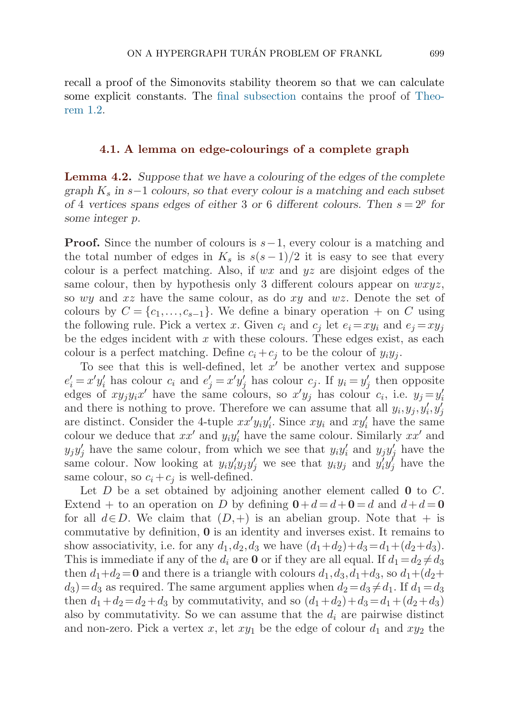<span id="page-26-0"></span>recall a proof of the Simonovits stability theorem so that we can calculate some explicit constants. The [final subsection](#page-28-0) contains the proof of [Theo](#page-2-0)re[m 1.2](#page-2-0).

### **4.1. A lemma on edge-colourings of a complete graph**

**Lemma 4.2.** *Suppose that we have a colouring of the edges of the complete graph*  $K_s$  *in* s−1 *colours, so that every colour is a matching and each subset of* 4 *vertices spans edges of either* 3 *or* 6 *different colours. Then*  $s = 2^p$  *for some integer* p*.*

**Proof.** Since the number of colours is  $s-1$ , every colour is a matching and the total number of edges in  $K_s$  is  $s(s-1)/2$  it is easy to see that every colour is a perfect matching. Also, if  $wx$  and  $yz$  are disjoint edges of the same colour, then by hypothesis only 3 different colours appear on  $wxyz$ , so wy and  $xz$  have the same colour, as do  $xy$  and  $wz$ . Denote the set of colours by  $C = \{c_1, \ldots, c_{s-1}\}.$  We define a binary operation + on C using the following rule. Pick a vertex x. Given  $c_i$  and  $c_j$  let  $e_i = xy_i$  and  $e_j = xy_j$ be the edges incident with  $x$  with these colours. These edges exist, as each colour is a perfect matching. Define  $c_i + c_j$  to be the colour of  $y_i y_j$ .

To see that this is well-defined, let  $x'$  be another vertex and suppose  $e'_i = x'y'_i$  has colour  $c_i$  and  $e'_j = x'y'_j$  has colour  $c_j$ . If  $y_i = y'_j$  then opposite edges of  $xy_jy_ix'$  have the same colours, so  $x'y_j$  has colour  $c_i$ , i.e.  $y_j = y'_i$ and there is nothing to prove. Therefore we can assume that all  $y_i, y_j, y_i', y_j'$ are distinct. Consider the 4-tuple  $xx'y_iy_i'$ . Since  $xy_i$  and  $xy_i'$  have the same colour we deduce that  $xx'$  and  $y_i y_i'$  have the same colour. Similarly  $xx'$  and  $y_j y'_j$  have the same colour, from which we see that  $y_i y'_i$  and  $y_j y'_j$  have the same colour. Now looking at  $y_i y_i' y_j y_j'$  we see that  $y_i y_j$  and  $y_i' y_j'$  have the same colour, so  $c_i + c_j$  is well-defined.

Let D be a set obtained by adjoining another element called **0** to C. Extend + to an operation on D by defining  $0+d=d+0=d$  and  $d+d=0$ for all  $d \in D$ . We claim that  $(D,+)$  is an abelian group. Note that  $+$  is commutative by definition, **0** is an identity and inverses exist. It remains to show associativity, i.e. for any  $d_1, d_2, d_3$  we have  $(d_1+d_2)+d_3=d_1+(d_2+d_3)$ . This is immediate if any of the  $d_i$  are **0** or if they are all equal. If  $d_1 = d_2 \neq d_3$ then  $d_1+d_2=0$  and there is a triangle with colours  $d_1, d_3, d_1+d_3$ , so  $d_1+(d_2+$  $d_3$  =  $d_3$  as required. The same argument applies when  $d_2 = d_3 \neq d_1$ . If  $d_1 = d_3$ then  $d_1+d_2=d_2+d_3$  by commutativity, and so  $(d_1+d_2)+d_3=d_1+(d_2+d_3)$ also by commutativity. So we can assume that the  $d_i$  are pairwise distinct and non-zero. Pick a vertex x, let  $xy_1$  be the edge of colour  $d_1$  and  $xy_2$  the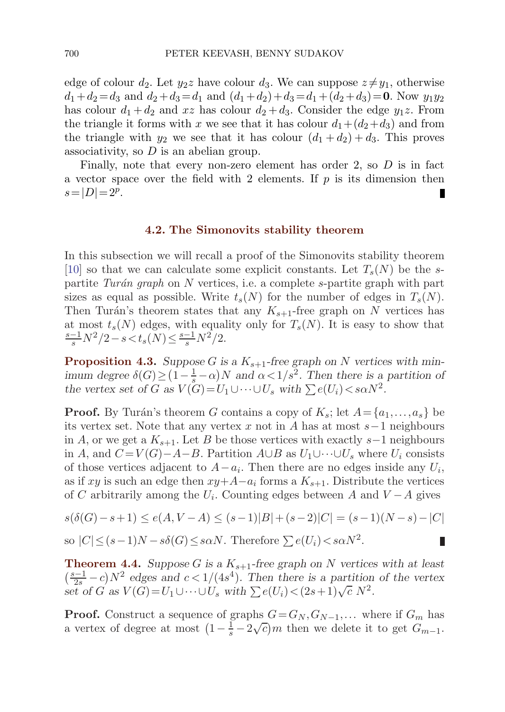<span id="page-27-0"></span>edge of colour  $d_2$ . Let  $y_2z$  have colour  $d_3$ . We can suppose  $z \neq y_1$ , otherwise  $d_1+d_2 = d_3$  and  $d_2+d_3 = d_1$  and  $(d_1+d_2)+d_3 = d_1+(d_2+d_3) = 0$ . Now  $y_1y_2$ has colour  $d_1 + d_2$  and xz has colour  $d_2 + d_3$ . Consider the edge  $y_1z$ . From the triangle it forms with x we see that it has colour  $d_1+(d_2+d_3)$  and from the triangle with  $y_2$  we see that it has colour  $(d_1 + d_2) + d_3$ . This proves associativity, so  $D$  is an abelian group.

Finally, note that every non-zero element has order 2, so  $D$  is in fact a vector space over the field with 2 elements. If  $p$  is its dimension then  $s=|D|= 2^p$ .

#### **4.2. The Simonovits stability theorem**

In this subsection we will recall a proof of the Simonovits stability theorem [[10\]](#page-33-0) so that we can calculate some explicit constants. Let  $T_s(N)$  be the spartite Turán graph on N vertices, i.e. a complete s-partite graph with part sizes as equal as possible. Write  $t_s(N)$  for the number of edges in  $T_s(N)$ . Then Turán's theorem states that any  $K_{s+1}$ -free graph on N vertices has at most  $t_s(N)$  edges, with equality only for  $T_s(N)$ . It is easy to show that  $\frac{-1}{s}N^2/2 - s < t_s(N) \leq \frac{s-1}{s}N^2/2.$ 

**Proposition 4.3.** Suppose G is a  $K_{s+1}$ -free graph on N vertices with min*imum degree*  $\delta(G) \geq (1 - \frac{1}{s} - \alpha)N$  *and*  $\alpha < 1/s^2$ . Then there is a partition of *the vertex set of* G as  $V(G) = U_1 \cup \cdots \cup U_s$  *with*  $\sum e(U_i) \leq s \alpha N^2$ .

**Proof.** By Turán's theorem G contains a copy of  $K_s$ ; let  $A = \{a_1, \ldots, a_s\}$  be its vertex set. Note that any vertex x not in A has at most  $s-1$  neighbours in A, or we get a  $K_{s+1}$ . Let B be those vertices with exactly s−1 neighbours in A, and  $C = V(G) - A - B$ . Partition  $A \cup B$  as  $U_1 \cup \cdots \cup U_s$  where  $U_i$  consists of those vertices adjacent to  $A-a_i$ . Then there are no edges inside any  $U_i$ , as if xy is such an edge then  $xy+A-a_i$  forms a  $K_{s+1}$ . Distribute the vertices of C arbitrarily among the  $U_i$ . Counting edges between A and  $V - A$  gives

$$
s(\delta(G)-s+1) \le e(A, V-A) \le (s-1)|B|+(s-2)|C| = (s-1)(N-s)-|C|
$$

П

so 
$$
|C| \le (s-1)N - s\delta(G) \le s\alpha N
$$
. Therefore  $\sum e(U_i) < s\alpha N^2$ .

**Theorem 4.4.** *Suppose* G is a  $K_{s+1}$ -free graph on N vertices with at least  $\left(\frac{s-1}{2s}-c\right)N^2$  edges and  $c<1/(4s^4)$ . Then there is a partition of the vertex *set of* G as  $V(G) = U_1 \cup \cdots \cup U_s$  *with*  $\sum e(U_i) < (2s+1)\sqrt{c} N^2$ .

**Proof.** Construct a sequence of graphs  $G = G_N, G_{N-1},...$  where if  $G_m$  has **i 1001.** Construct a sequence of graphs  $G = G_N, G_{N-1},...$  where if  $G_m$  has a vertex of degree at most  $\left(1 - \frac{1}{s} - 2\sqrt{c}\right)m$  then we delete it to get  $G_{m-1}$ .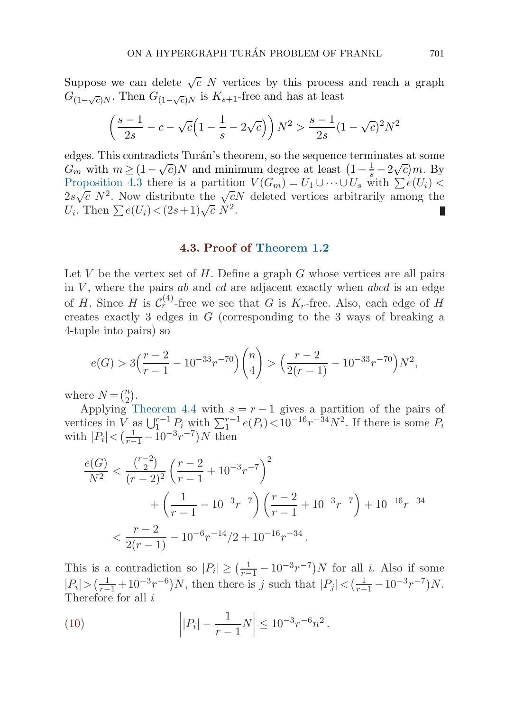<span id="page-28-0"></span>Suppose we can delete  $\sqrt{c}$  N vertices by this process and reach a graph  $G_{(1-\sqrt{c})N}$ . Then  $G_{(1-\sqrt{c})N}$  is  $K_{s+1}$ -free and has at least

$$
\left(\frac{s-1}{2s} - c - \sqrt{c}\left(1 - \frac{1}{s} - 2\sqrt{c}\right)\right)N^2 > \frac{s-1}{2s}(1 - \sqrt{c})^2N^2
$$

edges. This contradicts Turán's theorem, so the sequence terminates at some edges. This contradicts Turan's theorem, so the sequence terminates at some  $G_m$  with  $m \geq (1 - \sqrt{c})N$  and minimum degree at least  $(1 - \frac{1}{s} - 2\sqrt{c})m$ . By [Proposition 4.3](#page-27-0) there is a partition  $V(G_m) = U_1 \cup \cdots \cup U_s$  with  $\sum e(U_i)$ 2s  $\sqrt{c}$  N<sup>2</sup>. Now distribute the  $\sqrt{c}N$  deleted vertices arbitrarily among the  $U_i$ . Then  $\sum e(U_i) < (2s+1)\sqrt{c} N^2$ .

### **4.3. Proof of [Theorem 1.2](#page-2-0)**

Let V be the vertex set of  $H$ . Define a graph  $G$  whose vertices are all pairs in  $V$ , where the pairs ab and cd are adjacent exactly when abcd is an edge of H. Since H is  $\mathcal{C}_r^{(4)}$ -free we see that G is  $K_r$ -free. Also, each edge of H creates exactly 3 edges in G (corresponding to the 3 ways of breaking a 4-tuple into pairs) so

$$
e(G) > 3\left(\frac{r-2}{r-1} - 10^{-33}r^{-70}\right)\binom{n}{4} > \left(\frac{r-2}{2(r-1)} - 10^{-33}r^{-70}\right)N^2,
$$

where  $N = \binom{n}{2}$ .

Applying [Theorem 4.4](#page-27-0) with  $s = r - 1$  gives a partition of the pairs of vertices in  $\bar{V}$  as  $\bigcup_{1}^{r-1} P_i$  with  $\sum_{1}^{r-1} e(P_i) < 10^{-16}r^{-34}N^2$ . If there is some  $P_i$ with  $|P_i| < (\frac{1}{r-1} - 10^{-3}r^{-7})N$  then

$$
\frac{e(G)}{N^2} < \frac{\binom{r-2}{2}}{(r-2)^2} \left(\frac{r-2}{r-1} + 10^{-3}r^{-7}\right)^2 + \left(\frac{1}{r-1} - 10^{-3}r^{-7}\right) \left(\frac{r-2}{r-1} + 10^{-3}r^{-7}\right) + 10^{-16}r^{-34} \n< \frac{r-2}{2(r-1)} - 10^{-6}r^{-14}/2 + 10^{-16}r^{-34}.
$$

This is a contradiction so  $|P_i| \geq (\frac{1}{r-1} - 10^{-3}r^{-7})N$  for all *i*. Also if some  $|P_i| > (\frac{1}{r-1} + 10^{-3}r^{-6})N$ , then there is j such that  $|P_j| < (\frac{1}{r-1} - 10^{-3}r^{-7})N$ . Therefore for all *i* 

(10) 
$$
\left| |P_i| - \frac{1}{r-1}N \right| \le 10^{-3}r^{-6}n^2.
$$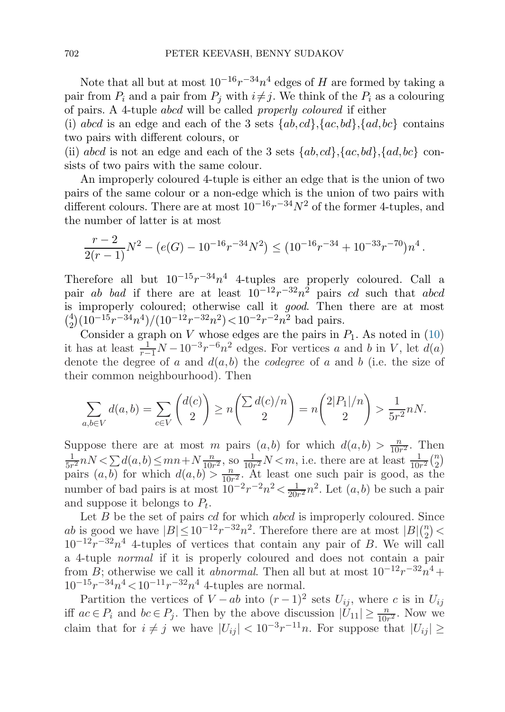Note that all but at most  $10^{-16}r^{-34}n^4$  edges of H are formed by taking a pair from  $P_i$  and a pair from  $P_j$  with  $i \neq j$ . We think of the  $P_i$  as a colouring of pairs. A 4-tuple abcd will be called properly coloured if either

(i) abcd is an edge and each of the 3 sets  $\{ab, cd\}$ ,  $\{ac, bd\}$ ,  $\{ad, bc\}$  contains two pairs with different colours, or

(ii) abcd is not an edge and each of the 3 sets  $\{ab, cd\}$ ,  $\{ac, bd\}$ ,  $\{ad, bc\}$  consists of two pairs with the same colour.

An improperly coloured 4-tuple is either an edge that is the union of two pairs of the same colour or a non-edge which is the union of two pairs with different colours. There are at most  $10^{-16}r^{-34}N^2$  of the former 4-tuples, and the number of latter is at most

$$
\frac{r-2}{2(r-1)}N^2 - (e(G) - 10^{-16}r^{-34}N^2) \le (10^{-16}r^{-34} + 10^{-33}r^{-70})n^4.
$$

Therefore all but  $10^{-15}r^{-34}n^4$  4-tuples are properly coloured. Call a pair ab bad if there are at least  $10^{-12}r^{-32}n^2$  pairs cd such that abcd is improperly coloured; otherwise call it good. Then there are at most  $\binom{4}{2} (10^{-15}r^{-34}n^4)/(10^{-12}r^{-32}n^2) < 10^{-2}r^{-2}n^2$  bad pairs.

Consider a graph on V whose edges are the pairs in  $P_1$ . As noted in [\(10\)](#page-28-0) it has at least  $\frac{1}{r-1}N - 10^{-3}r^{-6}n^2$  edges. For vertices a and b in V, let  $d(a)$ denote the degree of a and  $d(a, b)$  the *codegree* of a and b (i.e. the size of their common neighbourhood). Then

$$
\sum_{a,b \in V} d(a,b) = \sum_{c \in V} \binom{d(c)}{2} \ge n \binom{\sum d(c)/n}{2} = n \binom{2|P_1|/n}{2} > \frac{1}{5r^2} nN.
$$

Suppose there are at most m pairs  $(a,b)$  for which  $d(a,b) > \frac{n}{10r^2}$ . Then  $\frac{1}{5r^2}nN < \sum d(a,b) \le mn + N\frac{n}{10r^2}$ , so  $\frac{1}{10r^2}N < m$ , i.e. there are at least  $\frac{1}{10r^2} {n \choose 2}$ pairs  $(a, b)$  for which  $d(a, b) > \frac{n}{10r^2}$ . At least one such pair is good, as the number of bad pairs is at most  $10^{-2}r^{-2}n^2 < \frac{1}{20r^2}n^2$ . Let  $(a, b)$  be such a pair and suppose it belongs to  $P_t$ .

Let  $B$  be the set of pairs  $cd$  for which  $abcd$  is improperly coloured. Since ab is good we have  $|B| \leq 10^{-12} r^{-32} n^2$ . Therefore there are at most  $|B|_{\binom{n}{2}}$  $10^{-12}r^{-32}n^4$  4-tuples of vertices that contain any pair of B. We will call a 4-tuple normal if it is properly coloured and does not contain a pair from B; otherwise we call it *abnormal*. Then all but at most  $10^{-12}r^{-32}n^4$  +  $10^{-15}r^{-34}n^4 < 10^{-11}r^{-32}n^4$  4-tuples are normal.

Partition the vertices of  $V - ab$  into  $(r - 1)^2$  sets  $U_{ij}$ , where c is in  $U_{ij}$ iff  $ac \in P_i$  and  $bc \in P_j$ . Then by the above discussion  $|\tilde{U}_{11}| \ge \frac{n}{10r^2}$ . Now we claim that for  $i \neq j$  we have  $|U_{ij}| < 10^{-3}r^{-11}n$ . For suppose that  $|U_{ij}| \ge$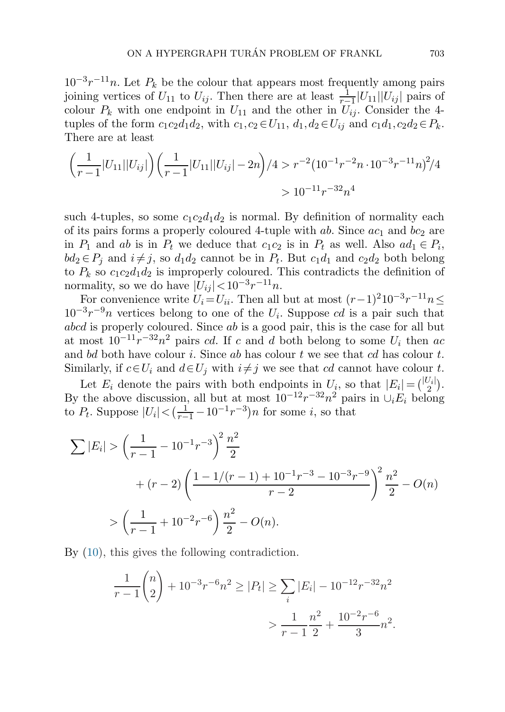$10^{-3}r^{-11}n$ . Let  $P_k$  be the colour that appears most frequently among pairs joining vertices of  $U_{11}$  to  $U_{ij}$ . Then there are at least  $\frac{1}{r-1} |U_{11}| |U_{ij}|$  pairs of colour  $P_k$  with one endpoint in  $U_{11}$  and the other in  $U_{ij}$ . Consider the 4tuples of the form  $c_1c_2d_1d_2$ , with  $c_1,c_2 \in U_{11}$ ,  $d_1,d_2 \in U_{ij}$  and  $c_1d_1,c_2d_2 \in P_k$ . There are at least

$$
\left(\frac{1}{r-1}|U_{11}||U_{ij}|\right)\left(\frac{1}{r-1}|U_{11}||U_{ij}|-2n\right)/4 > r^{-2}\left(10^{-1}r^{-2}n\cdot10^{-3}r^{-11}n\right)^{2}/4
$$
  
>  $10^{-11}r^{-32}n^{4}$ 

such 4-tuples, so some  $c_1c_2d_1d_2$  is normal. By definition of normality each of its pairs forms a properly coloured 4-tuple with  $ab$ . Since  $ac_1$  and  $bc_2$  are in  $P_1$  and ab is in  $P_t$  we deduce that  $c_1c_2$  is in  $P_t$  as well. Also  $ad_1 \in P_i$ ,  $bd_2 \in P_i$  and  $i \neq j$ , so  $d_1d_2$  cannot be in  $P_t$ . But  $c_1d_1$  and  $c_2d_2$  both belong to  $P_k$  so  $c_1c_2d_1d_2$  is improperly coloured. This contradicts the definition of normality, so we do have  $|U_{ij}| < 10^{-3}r^{-11}n$ .

For convenience write  $U_i=U_{ii}$ . Then all but at most  $(r-1)^210^{-3}r^{-11}n \leq$  $10^{-3}r^{-9}n$  vertices belong to one of the  $U_i$ . Suppose cd is a pair such that abcd is properly coloured. Since ab is a good pair, this is the case for all but at most  $10^{-11}r^{-32}n^2$  pairs cd. If c and d both belong to some  $U_i$  then ac and bd both have colour i. Since ab has colour t we see that cd has colour t. Similarly, if  $c \in U_i$  and  $d \in U_j$  with  $i \neq j$  we see that cd cannot have colour t.

Let  $E_i$  denote the pairs with both endpoints in  $U_i$ , so that  $|E_i| = \binom{|U_i|}{2}$ . By the above discussion, all but at most  $10^{-12}r^{-32}n^2$  pairs in  $\cup_i E_i$  belong to  $P_t$ . Suppose  $|U_i| < (\frac{1}{r-1} - 10^{-1}r^{-3})n$  for some *i*, so that

$$
\sum |E_i| > \left(\frac{1}{r-1} - 10^{-1}r^{-3}\right)^2 \frac{n^2}{2}
$$
  
+  $(r-2) \left(\frac{1 - 1/(r-1) + 10^{-1}r^{-3} - 10^{-3}r^{-9}}{r-2}\right)^2 \frac{n^2}{2} - O(n)$   
>  $\left(\frac{1}{r-1} + 10^{-2}r^{-6}\right) \frac{n^2}{2} - O(n).$ 

By [\(10\)](#page-28-0), this gives the following contradiction.

$$
\frac{1}{r-1} {n \choose 2} + 10^{-3} r^{-6} n^2 \ge |P_t| \ge \sum_i |E_i| - 10^{-12} r^{-32} n^2
$$
  
> 
$$
\frac{1}{r-1} \frac{n^2}{2} + \frac{10^{-2} r^{-6}}{3} n^2.
$$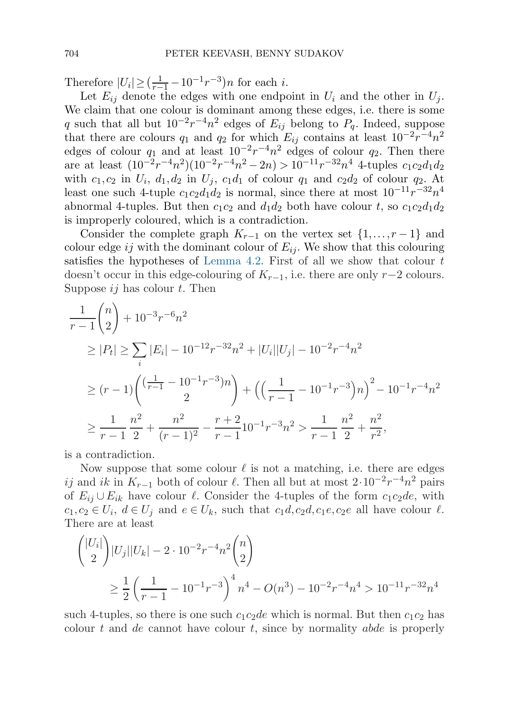Therefore  $|U_i| \geq (\frac{1}{r-1} - 10^{-1}r^{-3})n$  for each *i*.

Let  $E_{ij}$  denote the edges with one endpoint in  $U_i$  and the other in  $U_j$ . We claim that one colour is dominant among these edges, i.e. there is some q such that all but  $10^{-2}r^{-4}n^2$  edges of  $E_{ij}$  belong to  $P_a$ . Indeed, suppose that there are colours  $q_1$  and  $q_2$  for which  $E_{ij}$  contains at least  $10^{-2}r^{-4}n^2$ edges of colour  $q_1$  and at least  $10^{-2}r^{-4}n^2$  edges of colour  $q_2$ . Then there are at least  $(10^{-2}r^{-4}n^2)(10^{-2}r^{-4}n^2-2n) > 10^{-11}r^{-32}n^4$  4-tuples  $c_1c_2d_1d_2$ with  $c_1, c_2$  in  $U_i$ ,  $d_1, d_2$  in  $U_j$ ,  $c_1d_1$  of colour  $q_1$  and  $c_2d_2$  of colour  $q_2$ . At least one such 4-tuple  $c_1c_2d_1d_2$  is normal, since there at most  $10^{-11}r^{-32}n^4$ abnormal 4-tuples. But then  $c_1c_2$  and  $d_1d_2$  both have colour t, so  $c_1c_2d_1d_2$ is improperly coloured, which is a contradiction.

Consider the complete graph  $K_{r-1}$  on the vertex set  $\{1,\ldots,r-1\}$  and colour edge ij with the dominant colour of  $E_{ij}$ . We show that this colouring satisfies the hypotheses of [Lemma 4.2](#page-26-0). First of all we show that colour  $t$ doesn't occur in this edge-colouring of  $K_{r-1}$ , i.e. there are only r−2 colours. Suppose  $ij$  has colour t. Then

$$
\frac{1}{r-1} \binom{n}{2} + 10^{-3} r^{-6} n^2
$$
\n
$$
\geq |P_t| \geq \sum_i |E_i| - 10^{-12} r^{-32} n^2 + |U_i||U_j| - 10^{-2} r^{-4} n^2
$$
\n
$$
\geq (r-1) \binom{\left(\frac{1}{r-1} - 10^{-1} r^{-3}\right) n}{2} + \left(\left(\frac{1}{r-1} - 10^{-1} r^{-3}\right) n\right)^2 - 10^{-1} r^{-4} n^2
$$
\n
$$
\geq \frac{1}{r-1} \frac{n^2}{2} + \frac{n^2}{(r-1)^2} - \frac{r+2}{r-1} 10^{-1} r^{-3} n^2 > \frac{1}{r-1} \frac{n^2}{2} + \frac{n^2}{r^2},
$$

is a contradiction.

Now suppose that some colour  $\ell$  is not a matching, i.e. there are edges ij and ik in  $K_{r-1}$  both of colour  $\ell$ . Then all but at most  $2\cdot 10^{-2}r^{-4}n^2$  pairs of  $E_{ii} \cup E_{ik}$  have colour  $\ell$ . Consider the 4-tuples of the form  $c_1c_2de$ , with  $c_1, c_2 \in U_i$ ,  $d \in U_j$  and  $e \in U_k$ , such that  $c_1d, c_2d, c_1e, c_2e$  all have colour  $\ell$ . There are at least

$$
\binom{|U_i|}{2}|U_j||U_k| - 2 \cdot 10^{-2}r^{-4}n^2 \binom{n}{2}
$$
  
\n
$$
\geq \frac{1}{2} \left( \frac{1}{r-1} - 10^{-1}r^{-3} \right)^4 n^4 - O(n^3) - 10^{-2}r^{-4}n^4 > 10^{-11}r^{-32}n^4
$$

such 4-tuples, so there is one such  $c_1c_2de$  which is normal. But then  $c_1c_2$  has colour t and de cannot have colour t, since by normality abde is properly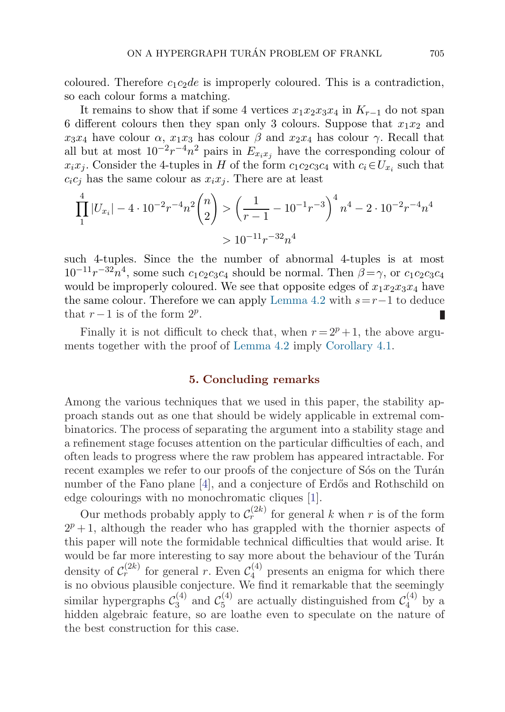<span id="page-32-0"></span>coloured. Therefore  $c_1c_2de$  is improperly coloured. This is a contradiction, so each colour forms a matching.

It remains to show that if some 4 vertices  $x_1x_2x_3x_4$  in  $K_{r-1}$  do not span 6 different colours then they span only 3 colours. Suppose that  $x_1x_2$  and  $x_3x_4$  have colour  $\alpha$ ,  $x_1x_3$  has colour  $\beta$  and  $x_2x_4$  has colour  $\gamma$ . Recall that all but at most  $10^{-2}r^{-4}n^2$  pairs in  $E_{x_ix_j}$  have the corresponding colour of  $x_ix_j$ . Consider the 4-tuples in H of the form  $c_1c_2c_3c_4$  with  $c_i\in U_{x_i}$  such that  $c_i c_j$  has the same colour as  $x_i x_j$ . There are at least

$$
\prod_{1}^{4} |U_{x_i}| - 4 \cdot 10^{-2} r^{-4} n^2 {n \choose 2} > \left(\frac{1}{r-1} - 10^{-1} r^{-3}\right)^4 n^4 - 2 \cdot 10^{-2} r^{-4} n^4
$$
  
>  $10^{-11} r^{-32} n^4$ 

such 4-tuples. Since the the number of abnormal 4-tuples is at most  $10^{-11}r^{-32}n^4$ , some such  $c_1c_2c_3c_4$  should be normal. Then  $\beta = \gamma$ , or  $c_1c_2c_3c_4$ would be improperly coloured. We see that opposite edges of  $x_1x_2x_3x_4$  have the same colour. Therefore we can apply [Lemma 4.2](#page-26-0) with  $s=r-1$  to deduce that  $r-1$  is of the form  $2^p$ .

Finally it is not difficult to check that, when  $r = 2^p + 1$ , the above arguments together with the proof of [Lemma 4.2](#page-26-0) imply [Corollary 4.1](#page-25-0).

### **5. Concluding remarks**

Among the various techniques that we used in this paper, the stability approach stands out as one that should be widely applicable in extremal combinatorics. The process of separating the argument into a stability stage and a refinement stage focuses attention on the particular difficulties of each, and often leads to progress where the raw problem has appeared intractable. For recent examples we refer to our proofs of the conjecture of S<sup>os</sup> on the Turán number of the Fano plane  $[4]$  $[4]$ , and a conjecture of Erdős and Rothschild on edge colourings with no monochromatic cliques [[1](#page-33-0)].

Our methods probably apply to  $\mathcal{C}_r^{(2k)}$  for general k when r is of the form  $2^p + 1$ , although the reader who has grappled with the thornier aspects of this paper will note the formidable technical difficulties that would arise. It would be far more interesting to say more about the behaviour of the Turán density of  $C_r^{(2k)}$  for general r. Even  $C_4^{(4)}$  presents an enigma for which there is no obvious plausible conjecture. We find it remarkable that the seemingly similar hypergraphs  $\mathcal{C}_3^{(4)}$  and  $\mathcal{C}_5^{(4)}$  are actually distinguished from  $\mathcal{C}_4^{(4)}$  by a hidden algebraic feature, so are loathe even to speculate on the nature of the best construction for this case.